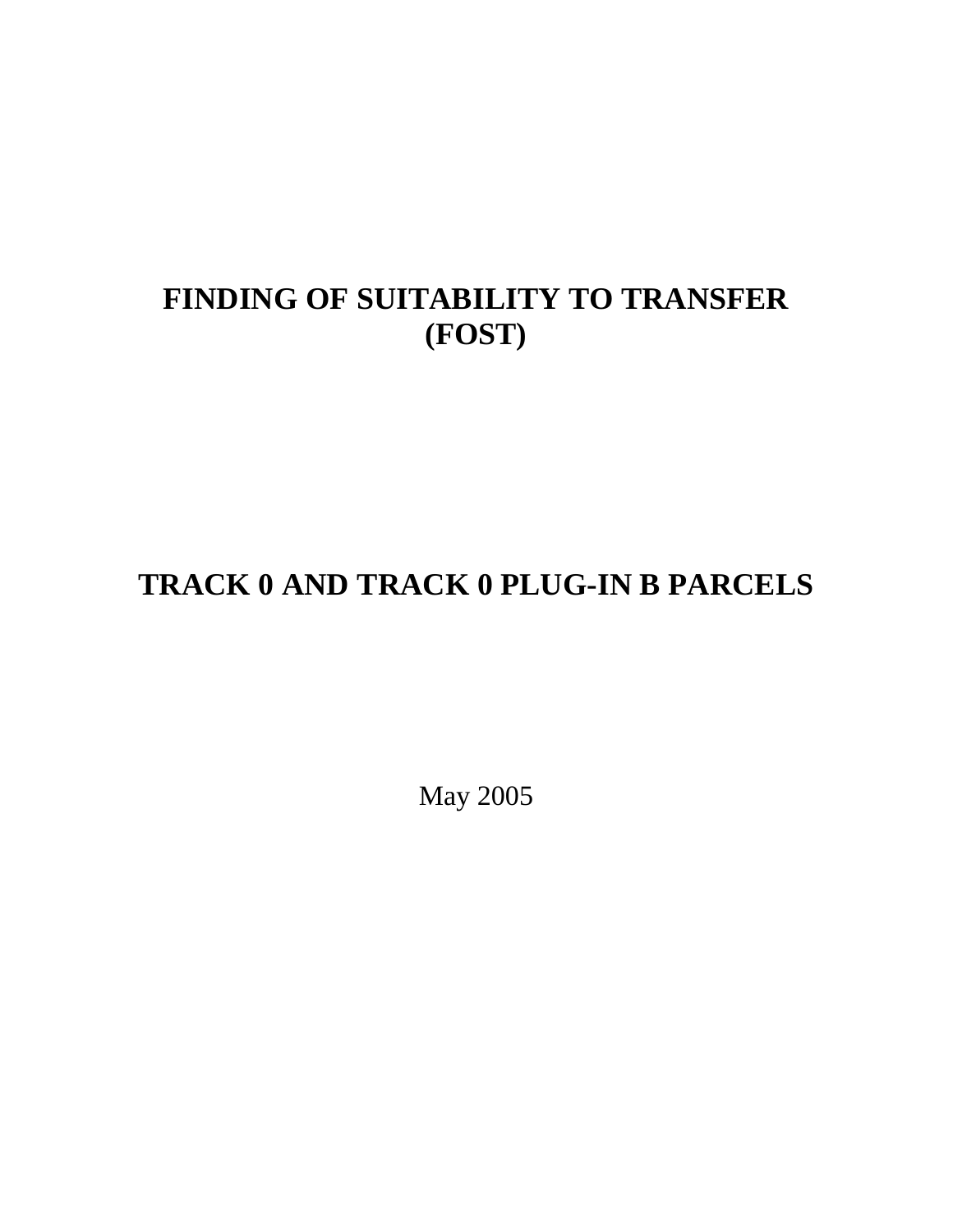# **FINDING OF SUITABILITY TO TRANSFER (FOST)**

# **TRACK 0 AND TRACK 0 PLUG-IN B PARCELS**

May 2005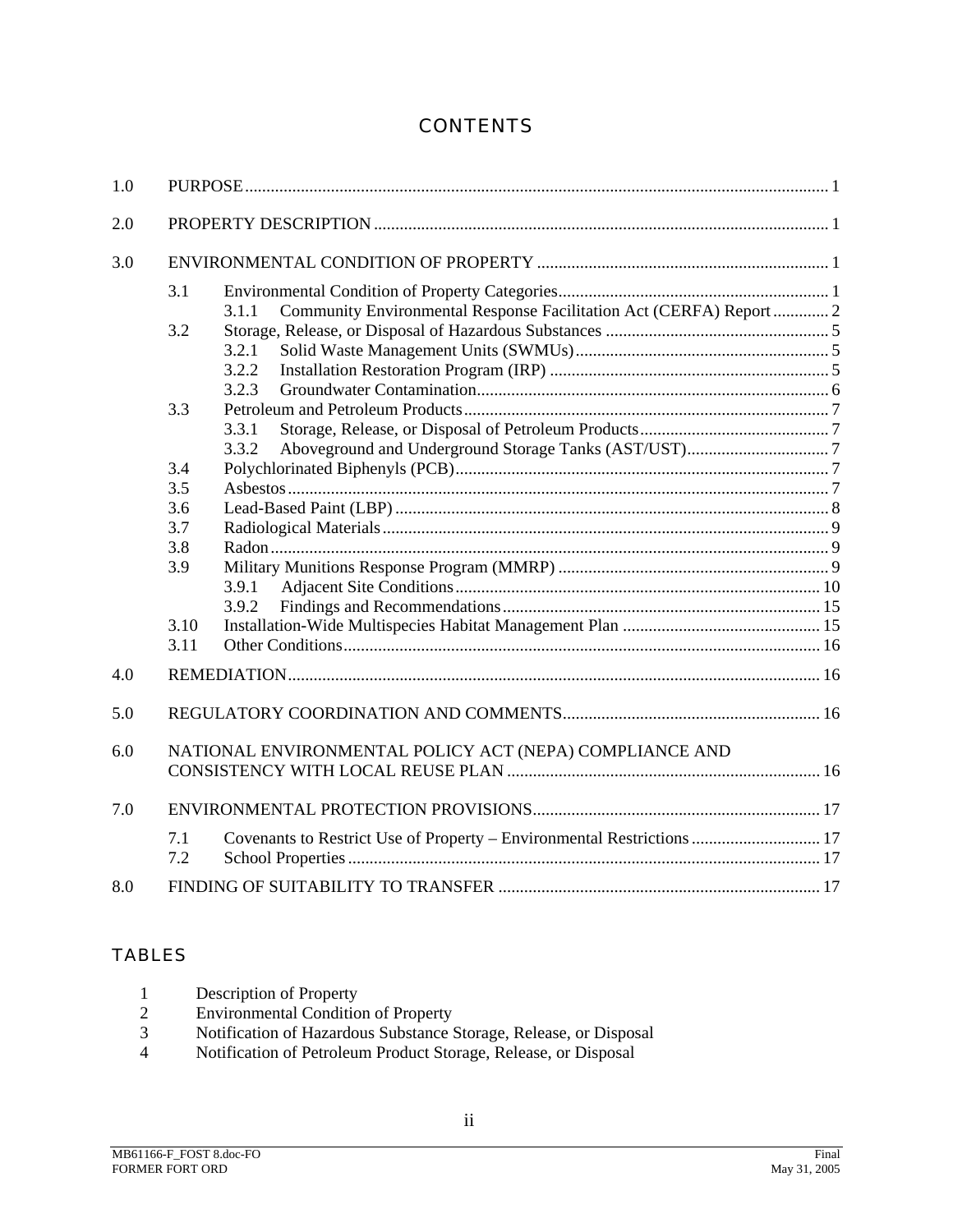# **CONTENTS**

| 1.0 |            |                                                                              |  |  |  |  |
|-----|------------|------------------------------------------------------------------------------|--|--|--|--|
| 2.0 |            |                                                                              |  |  |  |  |
| 3.0 |            |                                                                              |  |  |  |  |
|     | 3.1        |                                                                              |  |  |  |  |
|     |            | Community Environmental Response Facilitation Act (CERFA) Report  2<br>3.1.1 |  |  |  |  |
|     | 3.2        |                                                                              |  |  |  |  |
|     |            | 3.2.1                                                                        |  |  |  |  |
|     |            | 3.2.2                                                                        |  |  |  |  |
|     |            | 3.2.3                                                                        |  |  |  |  |
|     | 3.3        |                                                                              |  |  |  |  |
|     |            | 3.3.1                                                                        |  |  |  |  |
|     |            | 3.3.2                                                                        |  |  |  |  |
|     | 3.4        |                                                                              |  |  |  |  |
|     | 3.5        |                                                                              |  |  |  |  |
|     | 3.6        |                                                                              |  |  |  |  |
|     | 3.7        |                                                                              |  |  |  |  |
|     | 3.8        |                                                                              |  |  |  |  |
|     | 3.9        |                                                                              |  |  |  |  |
|     |            | 3.9.1                                                                        |  |  |  |  |
|     |            | 3.9.2                                                                        |  |  |  |  |
|     | 3.10       |                                                                              |  |  |  |  |
|     | 3.11       |                                                                              |  |  |  |  |
| 4.0 |            |                                                                              |  |  |  |  |
| 5.0 |            |                                                                              |  |  |  |  |
| 6.0 |            | NATIONAL ENVIRONMENTAL POLICY ACT (NEPA) COMPLIANCE AND                      |  |  |  |  |
|     |            |                                                                              |  |  |  |  |
| 7.0 |            |                                                                              |  |  |  |  |
|     | 7.1<br>7.2 | Covenants to Restrict Use of Property - Environmental Restrictions  17       |  |  |  |  |
| 8.0 |            |                                                                              |  |  |  |  |

## TABLES

| Description of Property           |
|-----------------------------------|
| $E$ nvinonmentel Condition of Dre |

- 2 Environmental Condition of Property
- 3 Notification of Hazardous Substance Storage, Release, or Disposal
- 4 Notification of Petroleum Product Storage, Release, or Disposal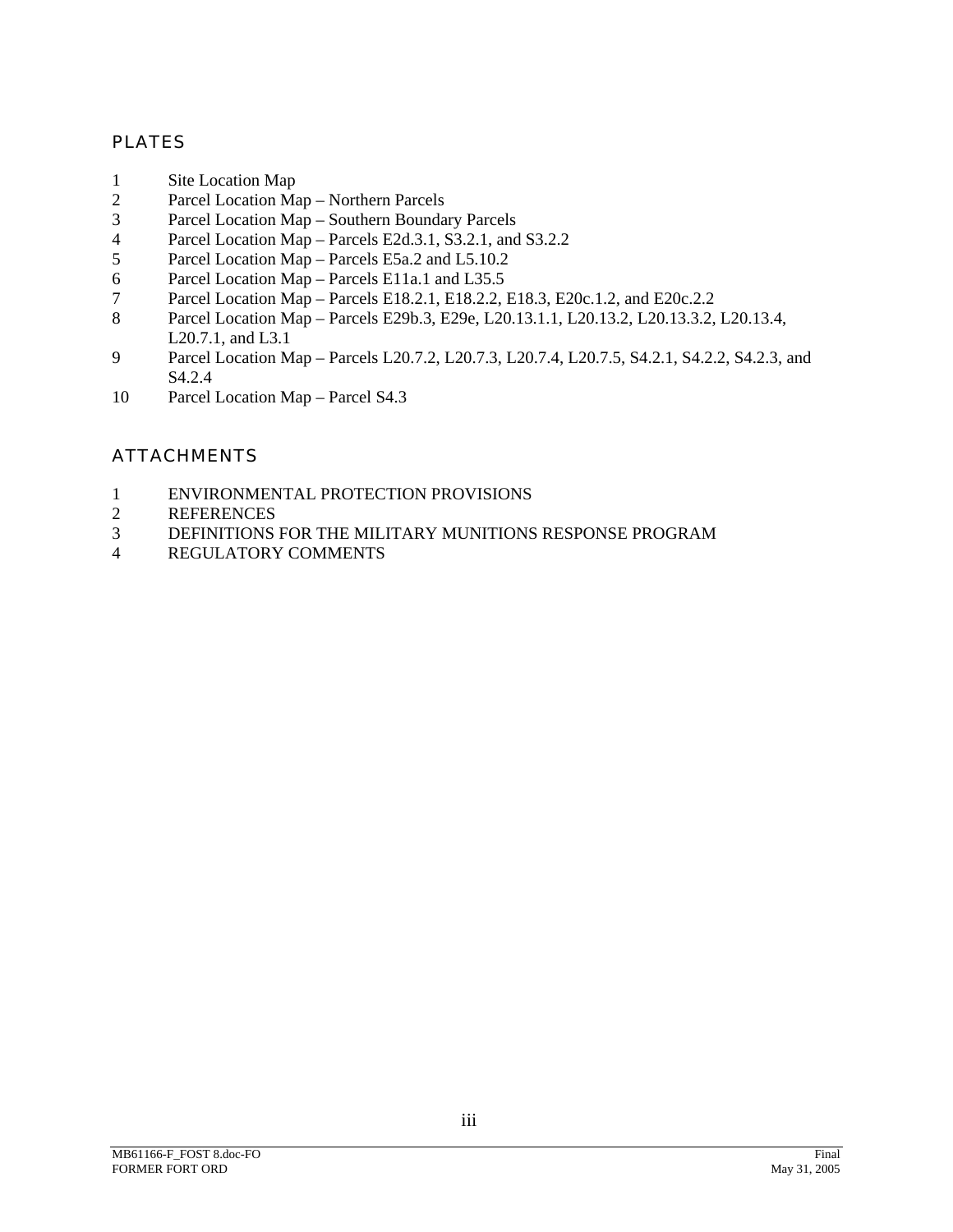#### PLATES

- 1 Site Location Map
- 2 Parcel Location Map Northern Parcels
- 3 Parcel Location Map Southern Boundary Parcels
- Parcel Location Map Parcels E2d.3.1, S3.2.1, and S3.2.2<br>
Parcel Location Map Parcels E5a.2 and L5.10.2
- 5 Parcel Location Map Parcels E5a.2 and L5.10.2
- 6 Parcel Location Map Parcels E11a.1 and L35.5
- 7 Parcel Location Map Parcels E18.2.1, E18.2.2, E18.3, E20c.1.2, and E20c.2.2
- 8 Parcel Location Map Parcels E29b.3, E29e, L20.13.1.1, L20.13.2, L20.13.3.2, L20.13.4, L20.7.1, and L3.1
- 9 Parcel Location Map Parcels L20.7.2, L20.7.3, L20.7.4, L20.7.5, S4.2.1, S4.2.2, S4.2.3, and S4.2.4
- 10 Parcel Location Map Parcel S4.3

# **ATTACHMENTS**

- 1 ENVIRONMENTAL PROTECTION PROVISIONS<br>2 REFERENCES
- 2 REFERENCES<br>3 DEFINITIONS
- 3 DEFINITIONS FOR THE MILITARY MUNITIONS RESPONSE PROGRAM
- 4 REGULATORY COMMENTS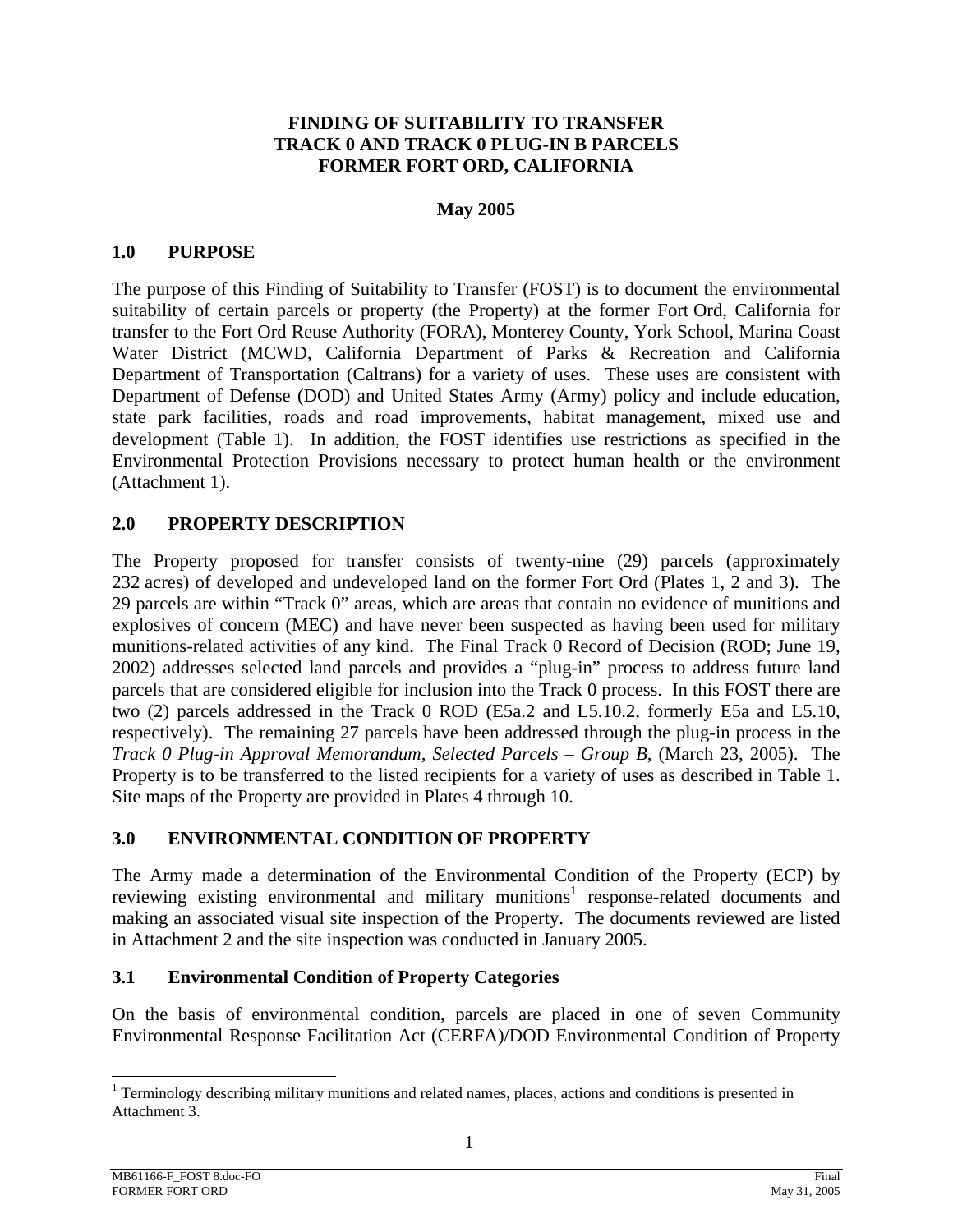#### **FINDING OF SUITABILITY TO TRANSFER TRACK 0 AND TRACK 0 PLUG-IN B PARCELS FORMER FORT ORD, CALIFORNIA**

#### **May 2005**

#### **1.0 PURPOSE**

The purpose of this Finding of Suitability to Transfer (FOST) is to document the environmental suitability of certain parcels or property (the Property) at the former Fort Ord, California for transfer to the Fort Ord Reuse Authority (FORA), Monterey County, York School, Marina Coast Water District (MCWD, California Department of Parks & Recreation and California Department of Transportation (Caltrans) for a variety of uses. These uses are consistent with Department of Defense (DOD) and United States Army (Army) policy and include education, state park facilities, roads and road improvements, habitat management, mixed use and development (Table 1). In addition, the FOST identifies use restrictions as specified in the Environmental Protection Provisions necessary to protect human health or the environment (Attachment 1).

#### **2.0 PROPERTY DESCRIPTION**

The Property proposed for transfer consists of twenty-nine (29) parcels (approximately 232 acres) of developed and undeveloped land on the former Fort Ord (Plates 1, 2 and 3). The 29 parcels are within "Track 0" areas, which are areas that contain no evidence of munitions and explosives of concern (MEC) and have never been suspected as having been used for military munitions-related activities of any kind. The Final Track 0 Record of Decision (ROD; June 19, 2002) addresses selected land parcels and provides a "plug-in" process to address future land parcels that are considered eligible for inclusion into the Track 0 process. In this FOST there are two (2) parcels addressed in the Track 0 ROD (E5a.2 and L5.10.2, formerly E5a and L5.10, respectively). The remaining 27 parcels have been addressed through the plug-in process in the *Track 0 Plug-in Approval Memorandum, Selected Parcels – Group B*, (March 23, 2005). The Property is to be transferred to the listed recipients for a variety of uses as described in Table 1. Site maps of the Property are provided in Plates 4 through 10.

## **3.0 ENVIRONMENTAL CONDITION OF PROPERTY**

The Army made a determination of the Environmental Condition of the Property (ECP) by reviewing existing environmental and military munitions<sup>1</sup> response-related documents and making an associated visual site inspection of the Property. The documents reviewed are listed in Attachment 2 and the site inspection was conducted in January 2005.

#### **3.1 Environmental Condition of Property Categories**

On the basis of environmental condition, parcels are placed in one of seven Community Environmental Response Facilitation Act (CERFA)/DOD Environmental Condition of Property

l

<sup>&</sup>lt;sup>1</sup> Terminology describing military munitions and related names, places, actions and conditions is presented in Attachment 3.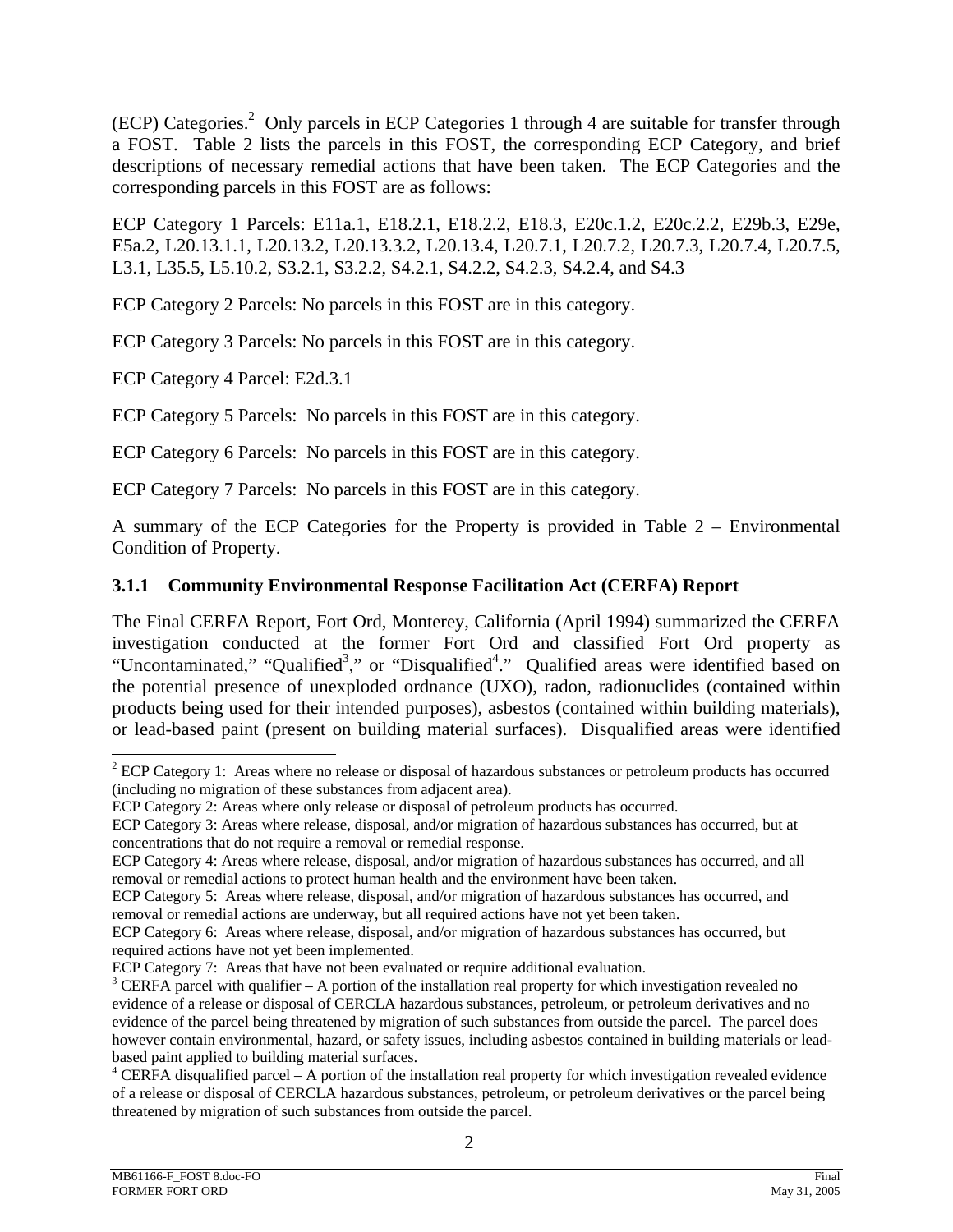(ECP) Categories.<sup>2</sup> Only parcels in ECP Categories 1 through 4 are suitable for transfer through a FOST. Table 2 lists the parcels in this FOST, the corresponding ECP Category, and brief descriptions of necessary remedial actions that have been taken. The ECP Categories and the corresponding parcels in this FOST are as follows:

ECP Category 1 Parcels: E11a.1, E18.2.1, E18.2.2, E18.3, E20c.1.2, E20c.2.2, E29b.3, E29e, E5a.2, L20.13.1.1, L20.13.2, L20.13.3.2, L20.13.4, L20.7.1, L20.7.2, L20.7.3, L20.7.4, L20.7.5, L3.1, L35.5, L5.10.2, S3.2.1, S3.2.2, S4.2.1, S4.2.2, S4.2.3, S4.2.4, and S4.3

ECP Category 2 Parcels: No parcels in this FOST are in this category.

ECP Category 3 Parcels: No parcels in this FOST are in this category.

ECP Category 4 Parcel: E2d.3.1

ECP Category 5 Parcels: No parcels in this FOST are in this category.

ECP Category 6 Parcels: No parcels in this FOST are in this category.

ECP Category 7 Parcels: No parcels in this FOST are in this category.

A summary of the ECP Categories for the Property is provided in Table 2 – Environmental Condition of Property.

## **3.1.1 Community Environmental Response Facilitation Act (CERFA) Report**

The Final CERFA Report, Fort Ord, Monterey, California (April 1994) summarized the CERFA investigation conducted at the former Fort Ord and classified Fort Ord property as "Uncontaminated," "Qualified<sup>3</sup>," or "Disqualified<sup>4</sup>." Qualified areas were identified based on the potential presence of unexploded ordnance (UXO), radon, radionuclides (contained within products being used for their intended purposes), asbestos (contained within building materials), or lead-based paint (present on building material surfaces). Disqualified areas were identified

l  $2^{2}$  ECP Category 1: Areas where no release or disposal of hazardous substances or petroleum products has occurred (including no migration of these substances from adjacent area).

ECP Category 2: Areas where only release or disposal of petroleum products has occurred.

ECP Category 3: Areas where release, disposal, and/or migration of hazardous substances has occurred, but at concentrations that do not require a removal or remedial response.

ECP Category 4: Areas where release, disposal, and/or migration of hazardous substances has occurred, and all removal or remedial actions to protect human health and the environment have been taken.

ECP Category 5: Areas where release, disposal, and/or migration of hazardous substances has occurred, and removal or remedial actions are underway, but all required actions have not yet been taken.

ECP Category 6: Areas where release, disposal, and/or migration of hazardous substances has occurred, but required actions have not yet been implemented.

ECP Category 7: Areas that have not been evaluated or require additional evaluation.

 $3$  CERFA parcel with qualifier – A portion of the installation real property for which investigation revealed no evidence of a release or disposal of CERCLA hazardous substances, petroleum, or petroleum derivatives and no evidence of the parcel being threatened by migration of such substances from outside the parcel. The parcel does however contain environmental, hazard, or safety issues, including asbestos contained in building materials or leadbased paint applied to building material surfaces.

<sup>&</sup>lt;sup>4</sup> CERFA disqualified parcel – A portion of the installation real property for which investigation revealed evidence of a release or disposal of CERCLA hazardous substances, petroleum, or petroleum derivatives or the parcel being threatened by migration of such substances from outside the parcel.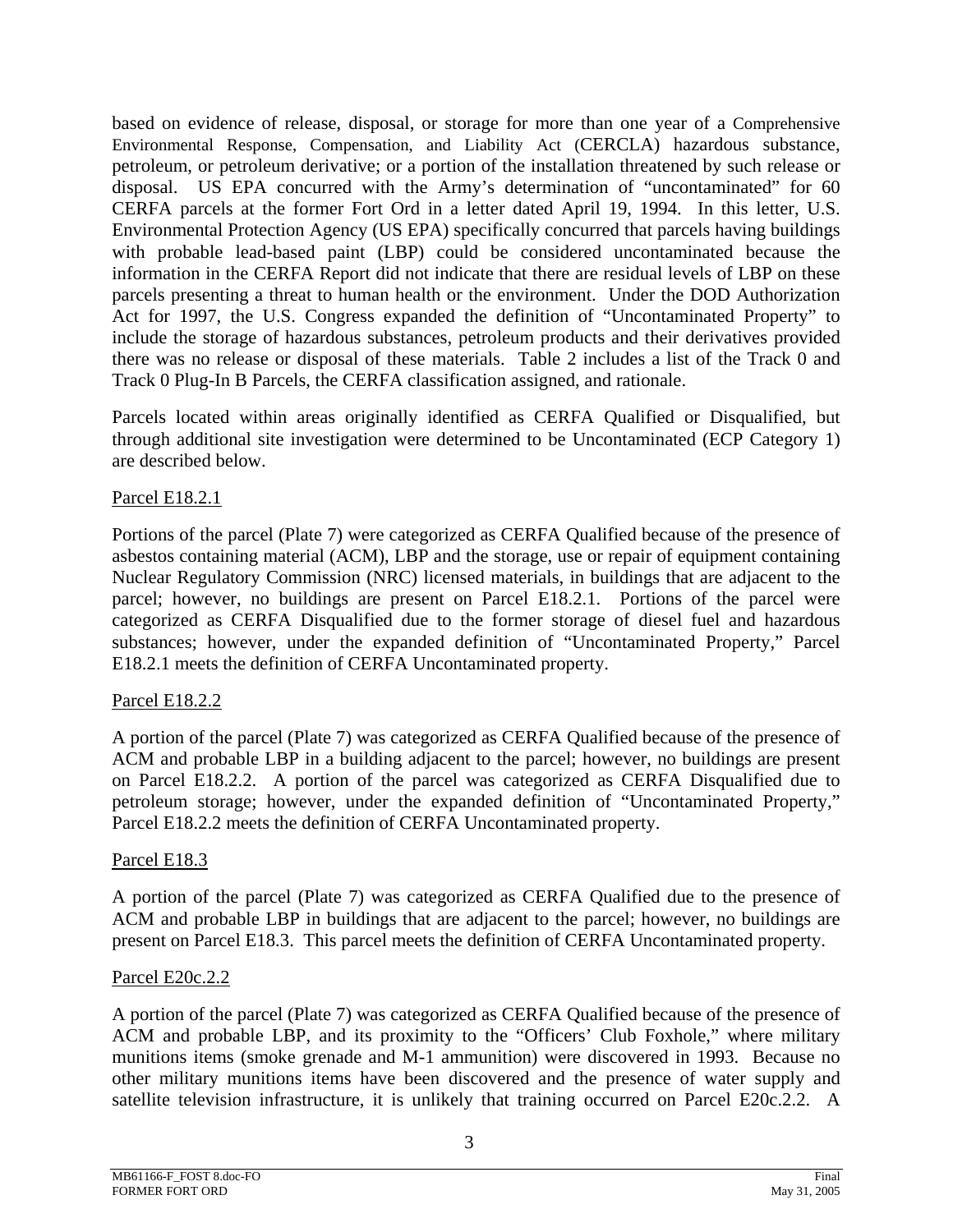based on evidence of release, disposal, or storage for more than one year of a Comprehensive Environmental Response, Compensation, and Liability Act (CERCLA) hazardous substance, petroleum, or petroleum derivative; or a portion of the installation threatened by such release or disposal. US EPA concurred with the Army's determination of "uncontaminated" for 60 CERFA parcels at the former Fort Ord in a letter dated April 19, 1994. In this letter, U.S. Environmental Protection Agency (US EPA) specifically concurred that parcels having buildings with probable lead-based paint (LBP) could be considered uncontaminated because the information in the CERFA Report did not indicate that there are residual levels of LBP on these parcels presenting a threat to human health or the environment. Under the DOD Authorization Act for 1997, the U.S. Congress expanded the definition of "Uncontaminated Property" to include the storage of hazardous substances, petroleum products and their derivatives provided there was no release or disposal of these materials. Table 2 includes a list of the Track 0 and Track 0 Plug-In B Parcels, the CERFA classification assigned, and rationale.

Parcels located within areas originally identified as CERFA Qualified or Disqualified, but through additional site investigation were determined to be Uncontaminated (ECP Category 1) are described below.

#### Parcel E18.2.1

Portions of the parcel (Plate 7) were categorized as CERFA Qualified because of the presence of asbestos containing material (ACM), LBP and the storage, use or repair of equipment containing Nuclear Regulatory Commission (NRC) licensed materials, in buildings that are adjacent to the parcel; however, no buildings are present on Parcel E18.2.1. Portions of the parcel were categorized as CERFA Disqualified due to the former storage of diesel fuel and hazardous substances; however, under the expanded definition of "Uncontaminated Property," Parcel E18.2.1 meets the definition of CERFA Uncontaminated property.

#### Parcel E18.2.2

A portion of the parcel (Plate 7) was categorized as CERFA Qualified because of the presence of ACM and probable LBP in a building adjacent to the parcel; however, no buildings are present on Parcel E18.2.2. A portion of the parcel was categorized as CERFA Disqualified due to petroleum storage; however, under the expanded definition of "Uncontaminated Property," Parcel E18.2.2 meets the definition of CERFA Uncontaminated property.

#### Parcel E18.3

A portion of the parcel (Plate 7) was categorized as CERFA Qualified due to the presence of ACM and probable LBP in buildings that are adjacent to the parcel; however, no buildings are present on Parcel E18.3. This parcel meets the definition of CERFA Uncontaminated property.

#### Parcel E20c.2.2

A portion of the parcel (Plate 7) was categorized as CERFA Qualified because of the presence of ACM and probable LBP, and its proximity to the "Officers' Club Foxhole," where military munitions items (smoke grenade and M-1 ammunition) were discovered in 1993. Because no other military munitions items have been discovered and the presence of water supply and satellite television infrastructure, it is unlikely that training occurred on Parcel E20c.2.2. A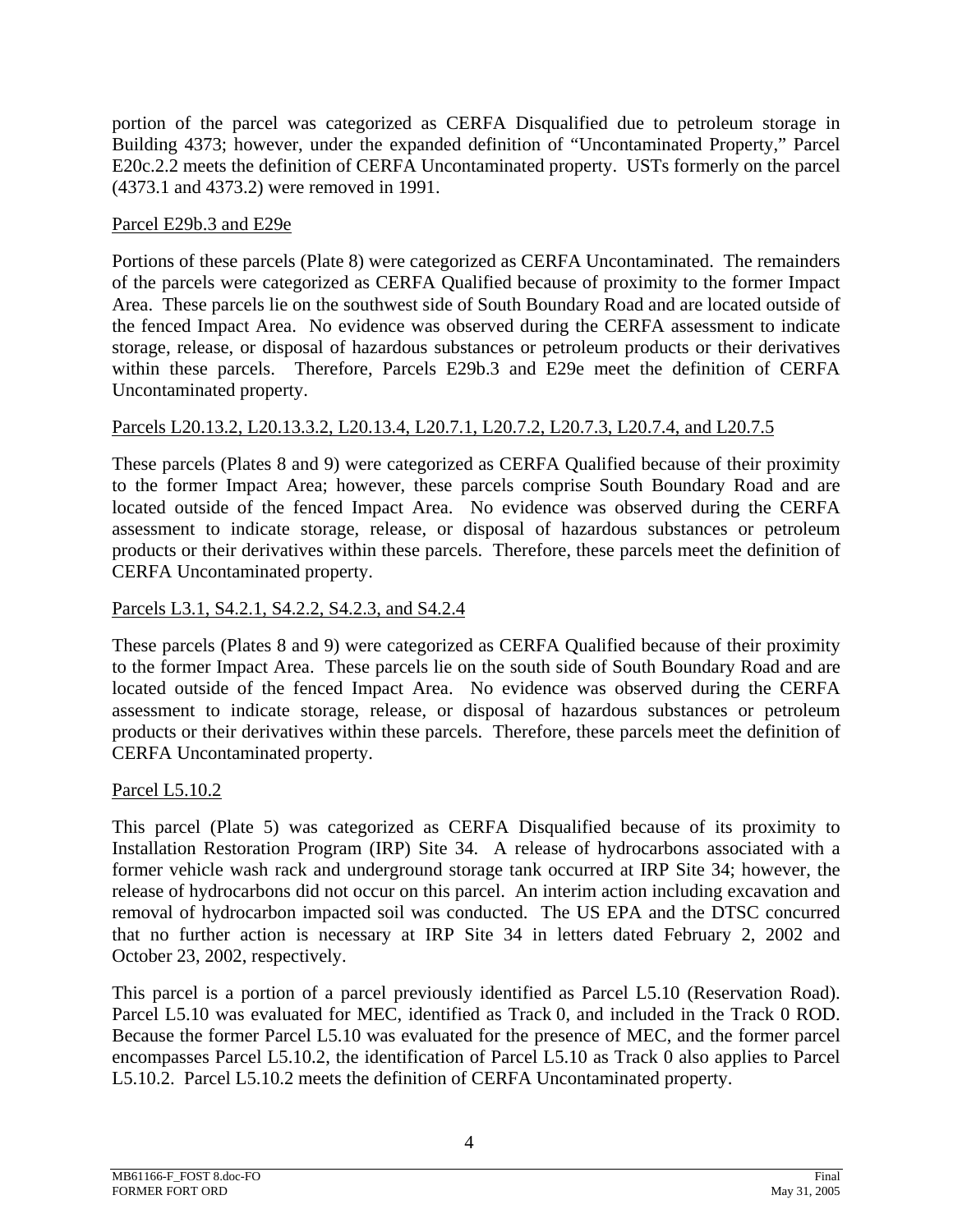portion of the parcel was categorized as CERFA Disqualified due to petroleum storage in Building 4373; however, under the expanded definition of "Uncontaminated Property," Parcel E20c.2.2 meets the definition of CERFA Uncontaminated property. USTs formerly on the parcel (4373.1 and 4373.2) were removed in 1991.

#### Parcel E29b.3 and E29e

Portions of these parcels (Plate 8) were categorized as CERFA Uncontaminated. The remainders of the parcels were categorized as CERFA Qualified because of proximity to the former Impact Area. These parcels lie on the southwest side of South Boundary Road and are located outside of the fenced Impact Area. No evidence was observed during the CERFA assessment to indicate storage, release, or disposal of hazardous substances or petroleum products or their derivatives within these parcels. Therefore, Parcels E29b.3 and E29e meet the definition of CERFA Uncontaminated property.

## Parcels L20.13.2, L20.13.3.2, L20.13.4, L20.7.1, L20.7.2, L20.7.3, L20.7.4, and L20.7.5

These parcels (Plates 8 and 9) were categorized as CERFA Qualified because of their proximity to the former Impact Area; however, these parcels comprise South Boundary Road and are located outside of the fenced Impact Area. No evidence was observed during the CERFA assessment to indicate storage, release, or disposal of hazardous substances or petroleum products or their derivatives within these parcels. Therefore, these parcels meet the definition of CERFA Uncontaminated property.

## Parcels L3.1, S4.2.1, S4.2.2, S4.2.3, and S4.2.4

These parcels (Plates 8 and 9) were categorized as CERFA Qualified because of their proximity to the former Impact Area. These parcels lie on the south side of South Boundary Road and are located outside of the fenced Impact Area. No evidence was observed during the CERFA assessment to indicate storage, release, or disposal of hazardous substances or petroleum products or their derivatives within these parcels. Therefore, these parcels meet the definition of CERFA Uncontaminated property.

#### Parcel L5.10.2

This parcel (Plate 5) was categorized as CERFA Disqualified because of its proximity to Installation Restoration Program (IRP) Site 34. A release of hydrocarbons associated with a former vehicle wash rack and underground storage tank occurred at IRP Site 34; however, the release of hydrocarbons did not occur on this parcel. An interim action including excavation and removal of hydrocarbon impacted soil was conducted. The US EPA and the DTSC concurred that no further action is necessary at IRP Site 34 in letters dated February 2, 2002 and October 23, 2002, respectively.

This parcel is a portion of a parcel previously identified as Parcel L5.10 (Reservation Road). Parcel L5.10 was evaluated for MEC, identified as Track 0, and included in the Track 0 ROD. Because the former Parcel L5.10 was evaluated for the presence of MEC, and the former parcel encompasses Parcel L5.10.2, the identification of Parcel L5.10 as Track 0 also applies to Parcel L5.10.2. Parcel L5.10.2 meets the definition of CERFA Uncontaminated property.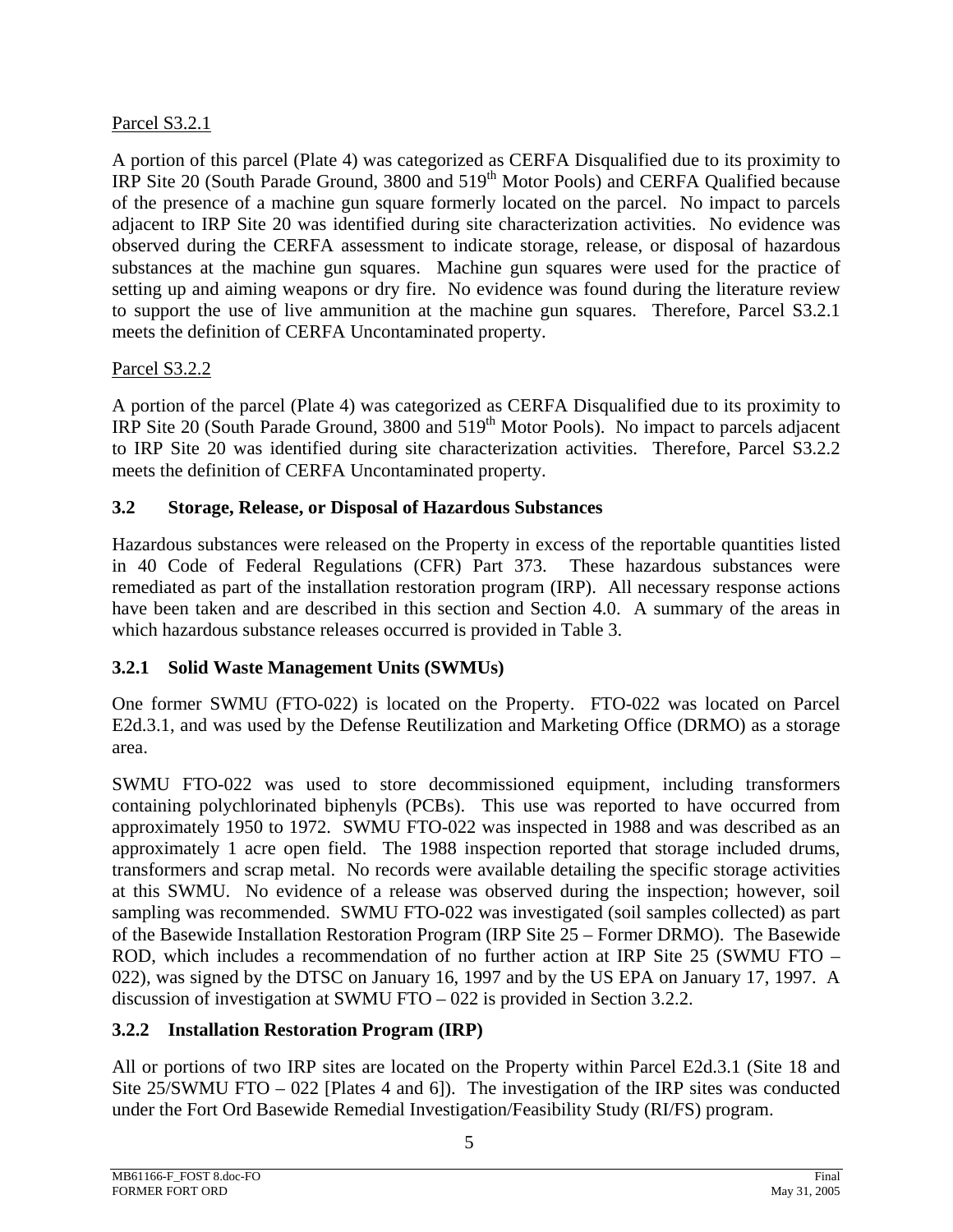## Parcel S3.2.1

A portion of this parcel (Plate 4) was categorized as CERFA Disqualified due to its proximity to IRP Site 20 (South Parade Ground, 3800 and 519<sup>th</sup> Motor Pools) and CERFA Qualified because of the presence of a machine gun square formerly located on the parcel. No impact to parcels adjacent to IRP Site 20 was identified during site characterization activities. No evidence was observed during the CERFA assessment to indicate storage, release, or disposal of hazardous substances at the machine gun squares. Machine gun squares were used for the practice of setting up and aiming weapons or dry fire. No evidence was found during the literature review to support the use of live ammunition at the machine gun squares. Therefore, Parcel S3.2.1 meets the definition of CERFA Uncontaminated property.

## Parcel S3.2.2

A portion of the parcel (Plate 4) was categorized as CERFA Disqualified due to its proximity to IRP Site 20 (South Parade Ground, 3800 and 519<sup>th</sup> Motor Pools). No impact to parcels adjacent to IRP Site 20 was identified during site characterization activities. Therefore, Parcel S3.2.2 meets the definition of CERFA Uncontaminated property.

## **3.2 Storage, Release, or Disposal of Hazardous Substances**

Hazardous substances were released on the Property in excess of the reportable quantities listed in 40 Code of Federal Regulations (CFR) Part 373. These hazardous substances were remediated as part of the installation restoration program (IRP). All necessary response actions have been taken and are described in this section and Section 4.0. A summary of the areas in which hazardous substance releases occurred is provided in Table 3.

## **3.2.1 Solid Waste Management Units (SWMUs)**

One former SWMU (FTO-022) is located on the Property. FTO-022 was located on Parcel E2d.3.1, and was used by the Defense Reutilization and Marketing Office (DRMO) as a storage area.

SWMU FTO-022 was used to store decommissioned equipment, including transformers containing polychlorinated biphenyls (PCBs). This use was reported to have occurred from approximately 1950 to 1972. SWMU FTO-022 was inspected in 1988 and was described as an approximately 1 acre open field. The 1988 inspection reported that storage included drums, transformers and scrap metal. No records were available detailing the specific storage activities at this SWMU. No evidence of a release was observed during the inspection; however, soil sampling was recommended. SWMU FTO-022 was investigated (soil samples collected) as part of the Basewide Installation Restoration Program (IRP Site 25 – Former DRMO). The Basewide ROD, which includes a recommendation of no further action at IRP Site 25 (SWMU FTO – 022), was signed by the DTSC on January 16, 1997 and by the US EPA on January 17, 1997. A discussion of investigation at SWMU FTO – 022 is provided in Section 3.2.2.

## **3.2.2 Installation Restoration Program (IRP)**

All or portions of two IRP sites are located on the Property within Parcel E2d.3.1 (Site 18 and Site 25/SWMU FTO – 022 [Plates 4 and 6]). The investigation of the IRP sites was conducted under the Fort Ord Basewide Remedial Investigation/Feasibility Study (RI/FS) program.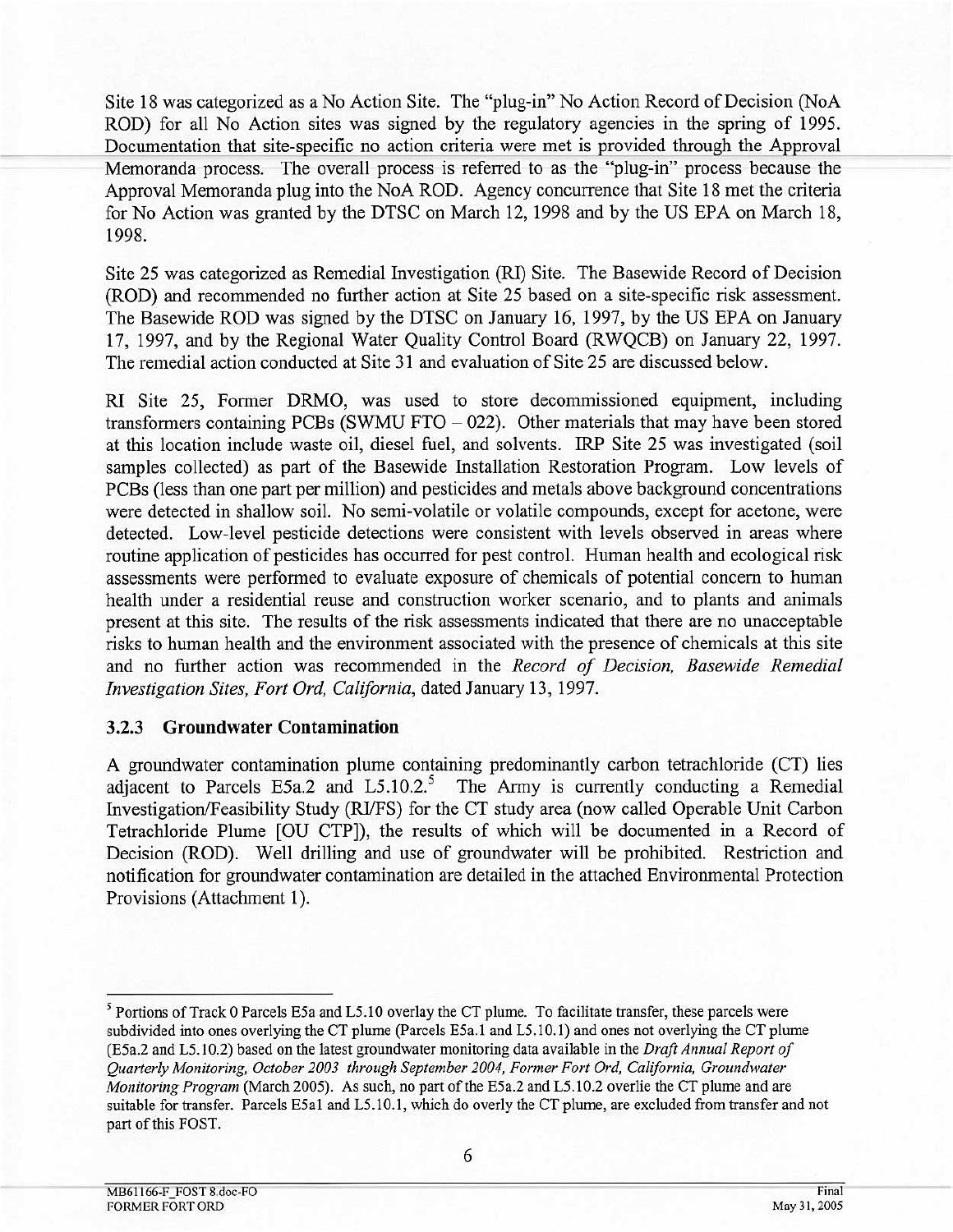Site 18 was categorized as a No Action Site. The "plug-in" No Action Record of Decision (NoA ROD) for all No Action sites was signed by the regulatory agencies in the spring of 1995. Documentation that site-specific no action criteria were met is provided through the Approval Memoranda process. The overall process is referred to as the "plug-in" process because the Approval Memoranda plug into the NoA ROD. Agency concurrence that Site 18 met the criteria for No Action was granted by the DTSC on March 12, 1998 and by the US EPA on March 18, 1998.

Site 25 was categorized as Remedial Investigation (RI) Site. The Basewide Record of Decision (ROD) and recommended no further action at Site 25 based on a site-specific risk assessment. The Basewide ROD was signed by the DTSC on January 16, 1997, by the US EPA on January 17, 1997, and by the Regional Water Quality Control Board (RWQCB) on January 22, 1997. The remedial action conducted at Site 31 and evaluation of Site 25 are discussed below.

RI Site 25, Former DRMO, was used to store decommissioned equipment, including transformers containing PCBs (SWMU FTO  $-$  022). Other materials that may have been stored at this location include waste oil, diesel fuel, and solvents. IRP Site 25 was investigated (soil samples collected) as part of the Basewide Installation Restoration Program. Low levels of PCBs (less than one part per million) and pesticides and metals above background concentrations were detected in shallow soil. No semi-volatile or volatile compounds, except for acetone, were detected. Low-level pesticide detections were consistent with levels observed in areas where routine application of pesticides has occurred for pest control. Human health and ecological risk assessments were performed to evaluate exposure of chemicals of potential concern to human health under a residential reuse and construction worker scenario, and to plants and animals present at this site. The results of the risk assessments indicated that there are no unacceptable risks to human health and the environment associated with the presence of chemicals at this site and no further action was recommended in the Record of Decision, Basewide Remedial Investigation Sites, Fort Ord, California, dated January 13, 1997.

#### 3.2.3 Groundwater Contamination

A groundwater contamination plume containing predominantly carbon tetrachloride (CT) lies adjacent to Parcels E5a.2 and L5.10.2.<sup>5</sup> The Army is currently conducting a Remedial Investigation/Feasibility Study (RI/FS) for the CT study area (now called Operable Unit Carbon Tetrachloride Plume [OU CTP]), the results of which will be documented in a Record of Decision (ROD). Well drilling and use of groundwater will be prohibited. Restriction and notification for groundwater contamination are detailed in the attached Environmental Protection Provisions (Attachment 1).

<sup>&</sup>lt;sup>5</sup> Portions of Track 0 Parcels E5a and L5.10 overlay the CT plume. To facilitate transfer, these parcels were subdivided into ones overlying the CT plume (Parcels E5a.1 and L5.10.1) and ones not overlying the CT plume (E5a.2 and L5.10.2) based on the latest groundwater monitoring data available in the Draft Annual Report of Ouarterly Monitoring, October 2003 through September 2004, Former Fort Ord, California, Groundwater Monitoring Program (March 2005). As such, no part of the E5a.2 and L5.10.2 overlie the CT plume and are suitable for transfer. Parcels E5a1 and L5.10.1, which do overly the CT plume, are excluded from transfer and not part of this FOST.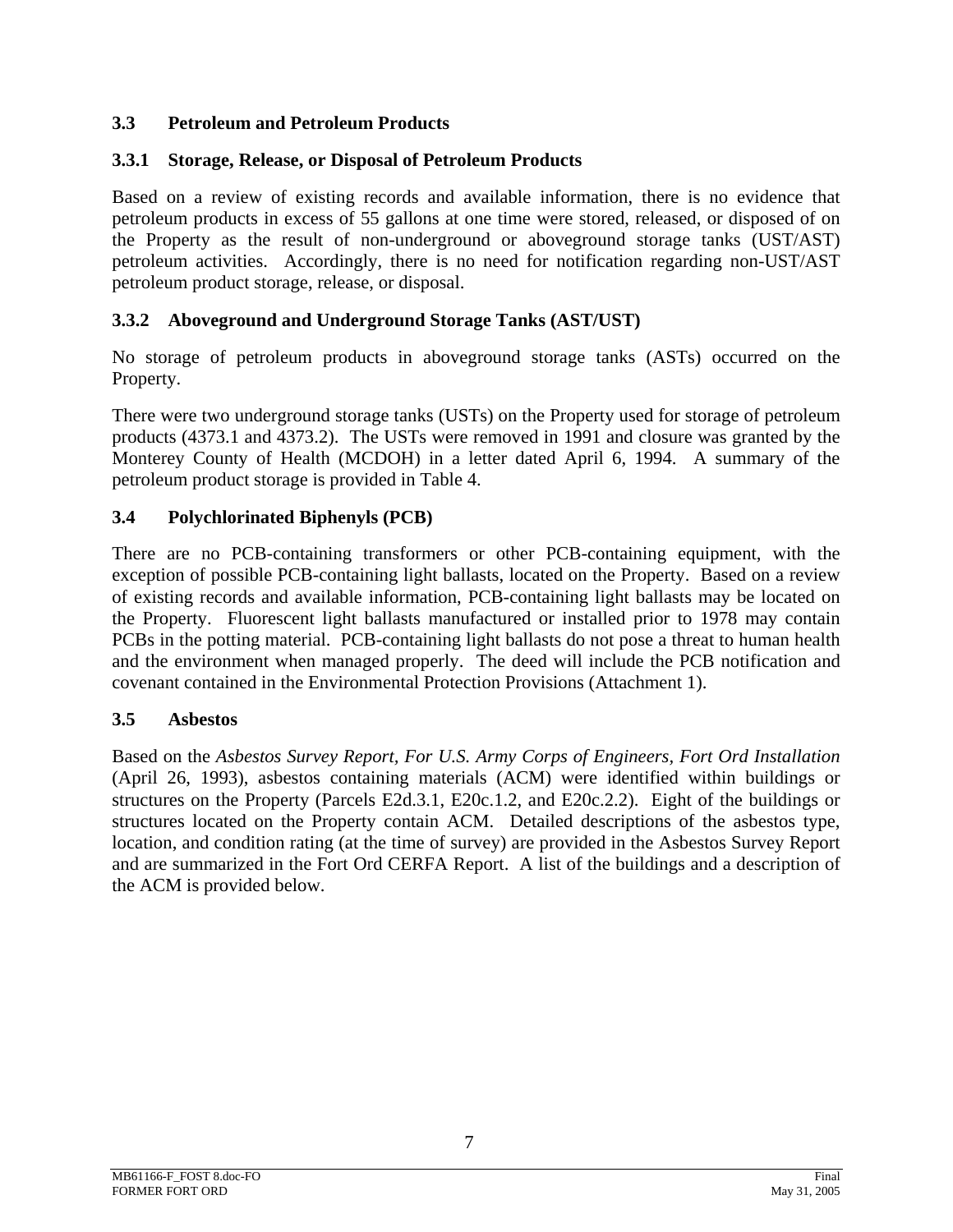## **3.3 Petroleum and Petroleum Products**

## **3.3.1 Storage, Release, or Disposal of Petroleum Products**

Based on a review of existing records and available information, there is no evidence that petroleum products in excess of 55 gallons at one time were stored, released, or disposed of on the Property as the result of non-underground or aboveground storage tanks (UST/AST) petroleum activities. Accordingly, there is no need for notification regarding non-UST/AST petroleum product storage, release, or disposal.

## **3.3.2 Aboveground and Underground Storage Tanks (AST/UST)**

No storage of petroleum products in aboveground storage tanks (ASTs) occurred on the Property.

There were two underground storage tanks (USTs) on the Property used for storage of petroleum products (4373.1 and 4373.2). The USTs were removed in 1991 and closure was granted by the Monterey County of Health (MCDOH) in a letter dated April 6, 1994. A summary of the petroleum product storage is provided in Table 4.

## **3.4 Polychlorinated Biphenyls (PCB)**

There are no PCB-containing transformers or other PCB-containing equipment, with the exception of possible PCB-containing light ballasts, located on the Property. Based on a review of existing records and available information, PCB-containing light ballasts may be located on the Property. Fluorescent light ballasts manufactured or installed prior to 1978 may contain PCBs in the potting material. PCB-containing light ballasts do not pose a threat to human health and the environment when managed properly. The deed will include the PCB notification and covenant contained in the Environmental Protection Provisions (Attachment 1).

#### **3.5 Asbestos**

Based on the *Asbestos Survey Report, For U.S. Army Corps of Engineers, Fort Ord Installation*  (April 26, 1993), asbestos containing materials (ACM) were identified within buildings or structures on the Property (Parcels E2d.3.1, E20c.1.2, and E20c.2.2). Eight of the buildings or structures located on the Property contain ACM. Detailed descriptions of the asbestos type, location, and condition rating (at the time of survey) are provided in the Asbestos Survey Report and are summarized in the Fort Ord CERFA Report. A list of the buildings and a description of the ACM is provided below.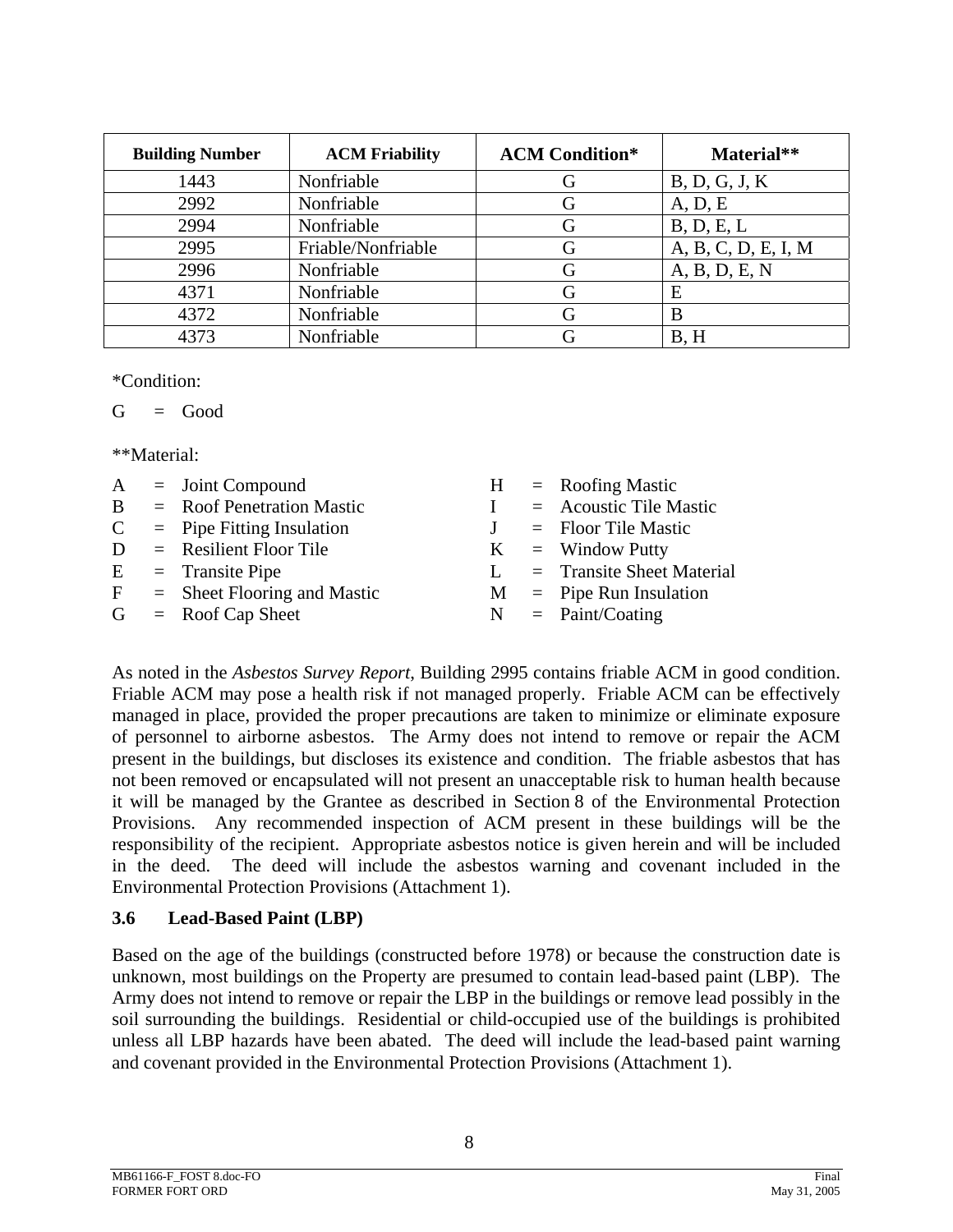| <b>Building Number</b> | <b>ACM Friability</b> | <b>ACM Condition*</b> | Material**          |
|------------------------|-----------------------|-----------------------|---------------------|
| 1443                   | Nonfriable            |                       | B, D, G, J, K       |
| 2992                   | Nonfriable            |                       | A, D, E             |
| 2994                   | Nonfriable            |                       | B, D, E, L          |
| 2995                   | Friable/Nonfriable    |                       | A, B, C, D, E, I, M |
| 2996                   | Nonfriable            |                       | A, B, D, E, N       |
| 4371                   | Nonfriable            |                       | E                   |
| 4372                   | Nonfriable            |                       | B                   |
| 4373                   | Nonfriable            |                       | B, H                |

\*Condition:

$$
G = Good
$$

\*\*Material:

|              | $A =$ Joint Compound            |   | $H =$ Roofing Mastic             |
|--------------|---------------------------------|---|----------------------------------|
| <sup>B</sup> | $=$ Roof Penetration Mastic     |   | $=$ Acoustic Tile Mastic         |
|              | $C =$ Pipe Fitting Insulation   |   | $=$ Floor Tile Mastic            |
| D            | $=$ Resilient Floor Tile        |   | $K =$ Window Putty               |
|              | $E =$ Transite Pipe             | L | = Transite Sheet Material        |
|              | $F =$ Sheet Flooring and Mastic |   | $M =$ Pipe Run Insulation        |
|              | $G = \text{Root Cap Sheet}$     |   | $N = \text{Paint}/\text{Coding}$ |
|              |                                 |   |                                  |

As noted in the *Asbestos Survey Report*, Building 2995 contains friable ACM in good condition. Friable ACM may pose a health risk if not managed properly. Friable ACM can be effectively managed in place, provided the proper precautions are taken to minimize or eliminate exposure of personnel to airborne asbestos. The Army does not intend to remove or repair the ACM present in the buildings, but discloses its existence and condition. The friable asbestos that has not been removed or encapsulated will not present an unacceptable risk to human health because it will be managed by the Grantee as described in Section 8 of the Environmental Protection Provisions. Any recommended inspection of ACM present in these buildings will be the responsibility of the recipient. Appropriate asbestos notice is given herein and will be included in the deed. The deed will include the asbestos warning and covenant included in the Environmental Protection Provisions (Attachment 1).

#### **3.6 Lead-Based Paint (LBP)**

Based on the age of the buildings (constructed before 1978) or because the construction date is unknown, most buildings on the Property are presumed to contain lead-based paint (LBP). The Army does not intend to remove or repair the LBP in the buildings or remove lead possibly in the soil surrounding the buildings. Residential or child-occupied use of the buildings is prohibited unless all LBP hazards have been abated. The deed will include the lead-based paint warning and covenant provided in the Environmental Protection Provisions (Attachment 1).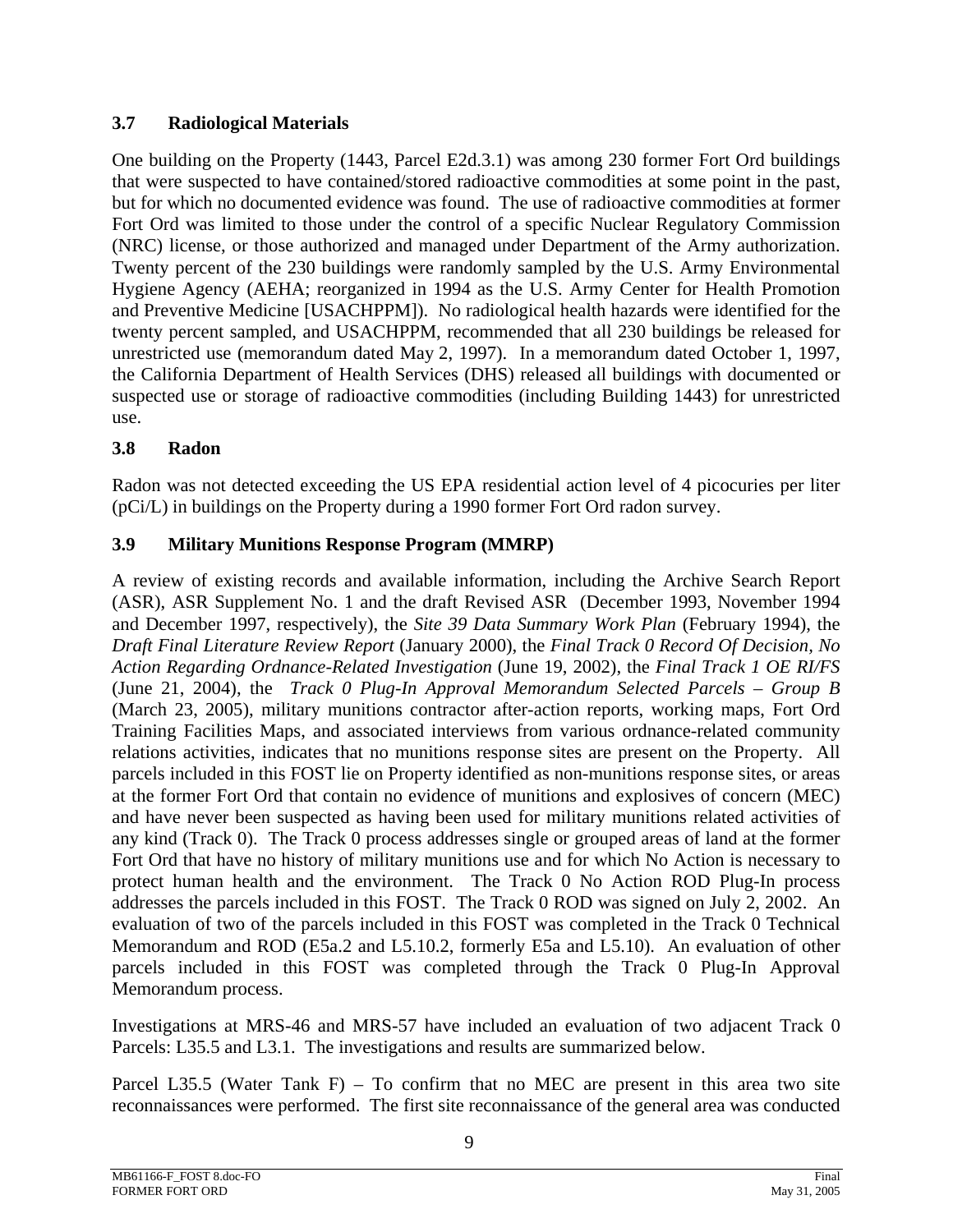## **3.7 Radiological Materials**

One building on the Property (1443, Parcel E2d.3.1) was among 230 former Fort Ord buildings that were suspected to have contained/stored radioactive commodities at some point in the past, but for which no documented evidence was found. The use of radioactive commodities at former Fort Ord was limited to those under the control of a specific Nuclear Regulatory Commission (NRC) license, or those authorized and managed under Department of the Army authorization. Twenty percent of the 230 buildings were randomly sampled by the U.S. Army Environmental Hygiene Agency (AEHA; reorganized in 1994 as the U.S. Army Center for Health Promotion and Preventive Medicine [USACHPPM]). No radiological health hazards were identified for the twenty percent sampled, and USACHPPM, recommended that all 230 buildings be released for unrestricted use (memorandum dated May 2, 1997). In a memorandum dated October 1, 1997, the California Department of Health Services (DHS) released all buildings with documented or suspected use or storage of radioactive commodities (including Building 1443) for unrestricted use.

# **3.8 Radon**

Radon was not detected exceeding the US EPA residential action level of 4 picocuries per liter (pCi/L) in buildings on the Property during a 1990 former Fort Ord radon survey.

## **3.9 Military Munitions Response Program (MMRP)**

A review of existing records and available information, including the Archive Search Report (ASR), ASR Supplement No. 1 and the draft Revised ASR (December 1993, November 1994 and December 1997, respectively), the *Site 39 Data Summary Work Plan* (February 1994), the *Draft Final Literature Review Report* (January 2000), the *Final Track 0 Record Of Decision, No Action Regarding Ordnance-Related Investigation* (June 19, 2002), the *Final Track 1 OE RI/FS* (June 21, 2004), the *Track 0 Plug-In Approval Memorandum Selected Parcels – Group B* (March 23, 2005), military munitions contractor after-action reports, working maps, Fort Ord Training Facilities Maps, and associated interviews from various ordnance-related community relations activities, indicates that no munitions response sites are present on the Property. All parcels included in this FOST lie on Property identified as non-munitions response sites, or areas at the former Fort Ord that contain no evidence of munitions and explosives of concern (MEC) and have never been suspected as having been used for military munitions related activities of any kind (Track 0). The Track 0 process addresses single or grouped areas of land at the former Fort Ord that have no history of military munitions use and for which No Action is necessary to protect human health and the environment. The Track 0 No Action ROD Plug-In process addresses the parcels included in this FOST. The Track 0 ROD was signed on July 2, 2002. An evaluation of two of the parcels included in this FOST was completed in the Track 0 Technical Memorandum and ROD (E5a.2 and L5.10.2, formerly E5a and L5.10). An evaluation of other parcels included in this FOST was completed through the Track 0 Plug-In Approval Memorandum process.

Investigations at MRS-46 and MRS-57 have included an evaluation of two adjacent Track 0 Parcels: L35.5 and L3.1. The investigations and results are summarized below.

Parcel L35.5 (Water Tank F) – To confirm that no MEC are present in this area two site reconnaissances were performed. The first site reconnaissance of the general area was conducted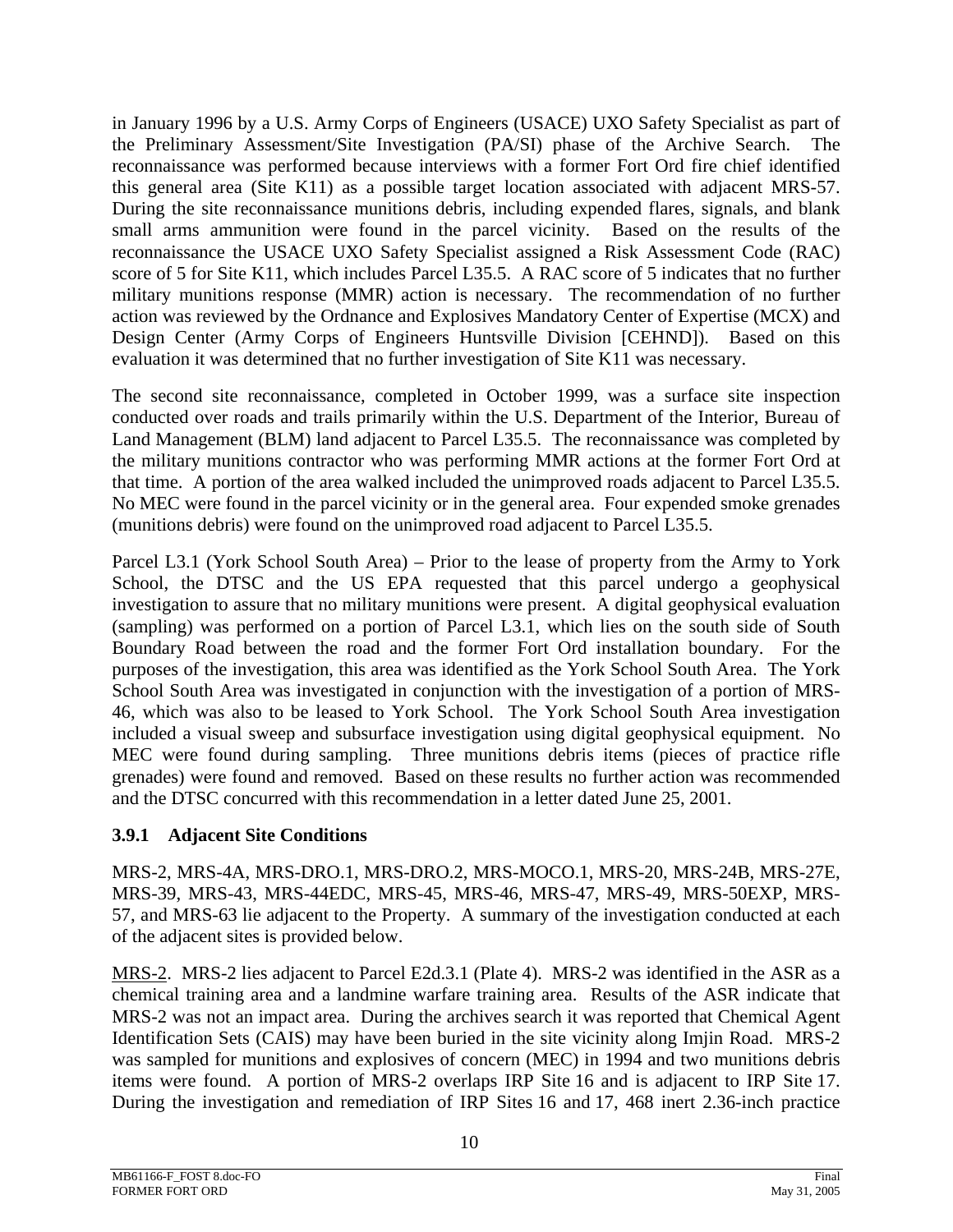in January 1996 by a U.S. Army Corps of Engineers (USACE) UXO Safety Specialist as part of the Preliminary Assessment/Site Investigation (PA/SI) phase of the Archive Search. The reconnaissance was performed because interviews with a former Fort Ord fire chief identified this general area (Site K11) as a possible target location associated with adjacent MRS-57. During the site reconnaissance munitions debris, including expended flares, signals, and blank small arms ammunition were found in the parcel vicinity. Based on the results of the reconnaissance the USACE UXO Safety Specialist assigned a Risk Assessment Code (RAC) score of 5 for Site K11, which includes Parcel L35.5. A RAC score of 5 indicates that no further military munitions response (MMR) action is necessary. The recommendation of no further action was reviewed by the Ordnance and Explosives Mandatory Center of Expertise (MCX) and Design Center (Army Corps of Engineers Huntsville Division [CEHND]). Based on this evaluation it was determined that no further investigation of Site K11 was necessary.

The second site reconnaissance, completed in October 1999, was a surface site inspection conducted over roads and trails primarily within the U.S. Department of the Interior, Bureau of Land Management (BLM) land adjacent to Parcel L35.5. The reconnaissance was completed by the military munitions contractor who was performing MMR actions at the former Fort Ord at that time. A portion of the area walked included the unimproved roads adjacent to Parcel L35.5. No MEC were found in the parcel vicinity or in the general area. Four expended smoke grenades (munitions debris) were found on the unimproved road adjacent to Parcel L35.5.

Parcel L3.1 (York School South Area) – Prior to the lease of property from the Army to York School, the DTSC and the US EPA requested that this parcel undergo a geophysical investigation to assure that no military munitions were present. A digital geophysical evaluation (sampling) was performed on a portion of Parcel L3.1, which lies on the south side of South Boundary Road between the road and the former Fort Ord installation boundary. For the purposes of the investigation, this area was identified as the York School South Area. The York School South Area was investigated in conjunction with the investigation of a portion of MRS-46, which was also to be leased to York School. The York School South Area investigation included a visual sweep and subsurface investigation using digital geophysical equipment. No MEC were found during sampling. Three munitions debris items (pieces of practice rifle grenades) were found and removed. Based on these results no further action was recommended and the DTSC concurred with this recommendation in a letter dated June 25, 2001.

## **3.9.1 Adjacent Site Conditions**

MRS-2, MRS-4A, MRS-DRO.1, MRS-DRO.2, MRS-MOCO.1, MRS-20, MRS-24B, MRS-27E, MRS-39, MRS-43, MRS-44EDC, MRS-45, MRS-46, MRS-47, MRS-49, MRS-50EXP, MRS-57, and MRS-63 lie adjacent to the Property. A summary of the investigation conducted at each of the adjacent sites is provided below.

MRS-2. MRS-2 lies adjacent to Parcel E2d.3.1 (Plate 4). MRS-2 was identified in the ASR as a chemical training area and a landmine warfare training area. Results of the ASR indicate that MRS-2 was not an impact area. During the archives search it was reported that Chemical Agent Identification Sets (CAIS) may have been buried in the site vicinity along Imjin Road. MRS-2 was sampled for munitions and explosives of concern (MEC) in 1994 and two munitions debris items were found. A portion of MRS-2 overlaps IRP Site 16 and is adjacent to IRP Site 17. During the investigation and remediation of IRP Sites 16 and 17, 468 inert 2.36-inch practice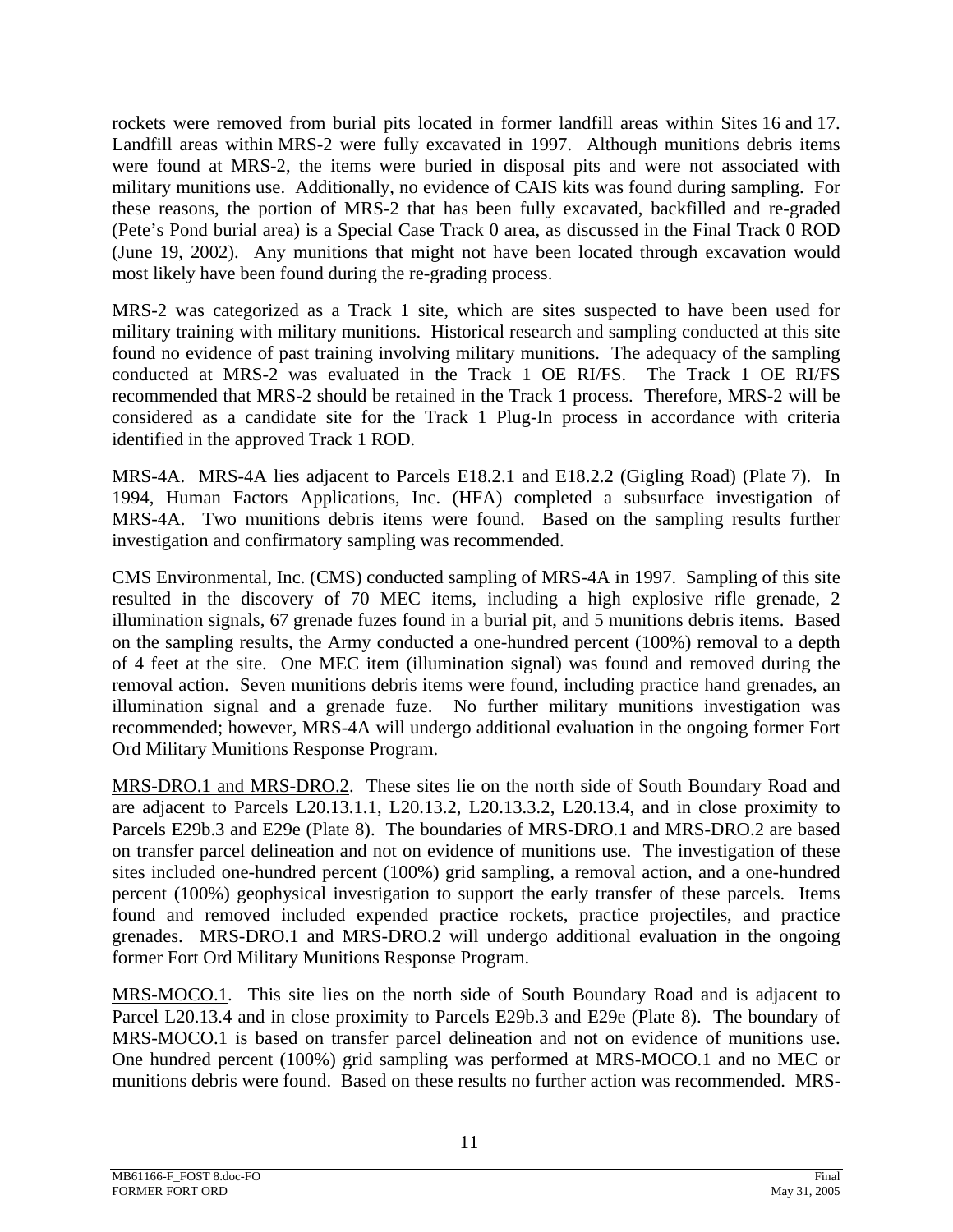rockets were removed from burial pits located in former landfill areas within Sites 16 and 17. Landfill areas within MRS-2 were fully excavated in 1997. Although munitions debris items were found at MRS-2, the items were buried in disposal pits and were not associated with military munitions use. Additionally, no evidence of CAIS kits was found during sampling. For these reasons, the portion of MRS-2 that has been fully excavated, backfilled and re-graded (Pete's Pond burial area) is a Special Case Track 0 area, as discussed in the Final Track 0 ROD (June 19, 2002). Any munitions that might not have been located through excavation would most likely have been found during the re-grading process.

MRS-2 was categorized as a Track 1 site, which are sites suspected to have been used for military training with military munitions. Historical research and sampling conducted at this site found no evidence of past training involving military munitions. The adequacy of the sampling conducted at MRS-2 was evaluated in the Track 1 OE RI/FS. The Track 1 OE RI/FS recommended that MRS-2 should be retained in the Track 1 process. Therefore, MRS-2 will be considered as a candidate site for the Track 1 Plug-In process in accordance with criteria identified in the approved Track 1 ROD.

MRS-4A. MRS-4A lies adjacent to Parcels E18.2.1 and E18.2.2 (Gigling Road) (Plate 7). In 1994, Human Factors Applications, Inc. (HFA) completed a subsurface investigation of MRS-4A. Two munitions debris items were found. Based on the sampling results further investigation and confirmatory sampling was recommended.

CMS Environmental, Inc. (CMS) conducted sampling of MRS-4A in 1997. Sampling of this site resulted in the discovery of 70 MEC items, including a high explosive rifle grenade, 2 illumination signals, 67 grenade fuzes found in a burial pit, and 5 munitions debris items. Based on the sampling results, the Army conducted a one-hundred percent (100%) removal to a depth of 4 feet at the site. One MEC item (illumination signal) was found and removed during the removal action. Seven munitions debris items were found, including practice hand grenades, an illumination signal and a grenade fuze. No further military munitions investigation was recommended; however, MRS-4A will undergo additional evaluation in the ongoing former Fort Ord Military Munitions Response Program.

MRS-DRO.1 and MRS-DRO.2. These sites lie on the north side of South Boundary Road and are adjacent to Parcels L20.13.1.1, L20.13.2, L20.13.3.2, L20.13.4, and in close proximity to Parcels E29b.3 and E29e (Plate 8). The boundaries of MRS-DRO.1 and MRS-DRO.2 are based on transfer parcel delineation and not on evidence of munitions use. The investigation of these sites included one-hundred percent (100%) grid sampling, a removal action, and a one-hundred percent (100%) geophysical investigation to support the early transfer of these parcels. Items found and removed included expended practice rockets, practice projectiles, and practice grenades. MRS-DRO.1 and MRS-DRO.2 will undergo additional evaluation in the ongoing former Fort Ord Military Munitions Response Program.

MRS-MOCO.1. This site lies on the north side of South Boundary Road and is adjacent to Parcel L20.13.4 and in close proximity to Parcels E29b.3 and E29e (Plate 8). The boundary of MRS-MOCO.1 is based on transfer parcel delineation and not on evidence of munitions use. One hundred percent (100%) grid sampling was performed at MRS-MOCO.1 and no MEC or munitions debris were found. Based on these results no further action was recommended. MRS-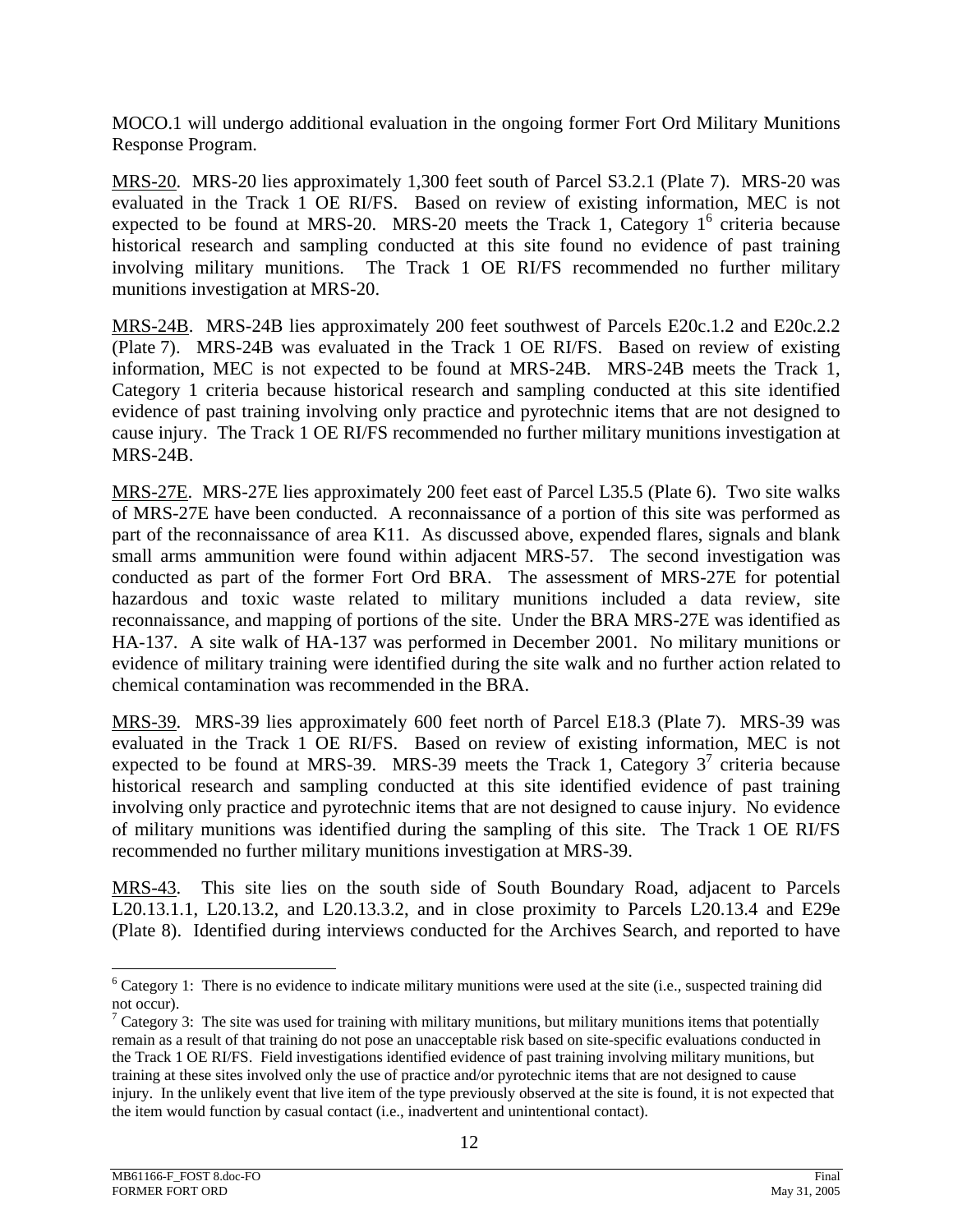MOCO.1 will undergo additional evaluation in the ongoing former Fort Ord Military Munitions Response Program.

MRS-20. MRS-20 lies approximately 1,300 feet south of Parcel S3.2.1 (Plate 7). MRS-20 was evaluated in the Track 1 OE RI/FS. Based on review of existing information, MEC is not expected to be found at MRS-20. MRS-20 meets the Track 1, Category  $1^6$  criteria because historical research and sampling conducted at this site found no evidence of past training involving military munitions. The Track 1 OE RI/FS recommended no further military munitions investigation at MRS-20.

MRS-24B. MRS-24B lies approximately 200 feet southwest of Parcels E20c.1.2 and E20c.2.2 (Plate 7). MRS-24B was evaluated in the Track 1 OE RI/FS. Based on review of existing information, MEC is not expected to be found at MRS-24B. MRS-24B meets the Track 1, Category 1 criteria because historical research and sampling conducted at this site identified evidence of past training involving only practice and pyrotechnic items that are not designed to cause injury. The Track 1 OE RI/FS recommended no further military munitions investigation at MRS-24B.

MRS-27E. MRS-27E lies approximately 200 feet east of Parcel L35.5 (Plate 6). Two site walks of MRS-27E have been conducted. A reconnaissance of a portion of this site was performed as part of the reconnaissance of area K11. As discussed above, expended flares, signals and blank small arms ammunition were found within adjacent MRS-57. The second investigation was conducted as part of the former Fort Ord BRA. The assessment of MRS-27E for potential hazardous and toxic waste related to military munitions included a data review, site reconnaissance, and mapping of portions of the site. Under the BRA MRS-27E was identified as HA-137. A site walk of HA-137 was performed in December 2001. No military munitions or evidence of military training were identified during the site walk and no further action related to chemical contamination was recommended in the BRA.

MRS-39. MRS-39 lies approximately 600 feet north of Parcel E18.3 (Plate 7). MRS-39 was evaluated in the Track 1 OE RI/FS. Based on review of existing information, MEC is not expected to be found at MRS-39. MRS-39 meets the Track 1, Category  $3^7$  criteria because historical research and sampling conducted at this site identified evidence of past training involving only practice and pyrotechnic items that are not designed to cause injury. No evidence of military munitions was identified during the sampling of this site. The Track 1 OE RI/FS recommended no further military munitions investigation at MRS-39.

MRS-43. This site lies on the south side of South Boundary Road, adjacent to Parcels L20.13.1.1, L20.13.2, and L20.13.3.2, and in close proximity to Parcels L20.13.4 and E29e (Plate 8). Identified during interviews conducted for the Archives Search, and reported to have

l

 $6$  Category 1: There is no evidence to indicate military munitions were used at the site (i.e., suspected training did not occur).

<sup>&</sup>lt;sup>7</sup> Category 3: The site was used for training with military munitions, but military munitions items that potentially remain as a result of that training do not pose an unacceptable risk based on site-specific evaluations conducted in the Track 1 OE RI/FS. Field investigations identified evidence of past training involving military munitions, but training at these sites involved only the use of practice and/or pyrotechnic items that are not designed to cause injury. In the unlikely event that live item of the type previously observed at the site is found, it is not expected that the item would function by casual contact (i.e., inadvertent and unintentional contact).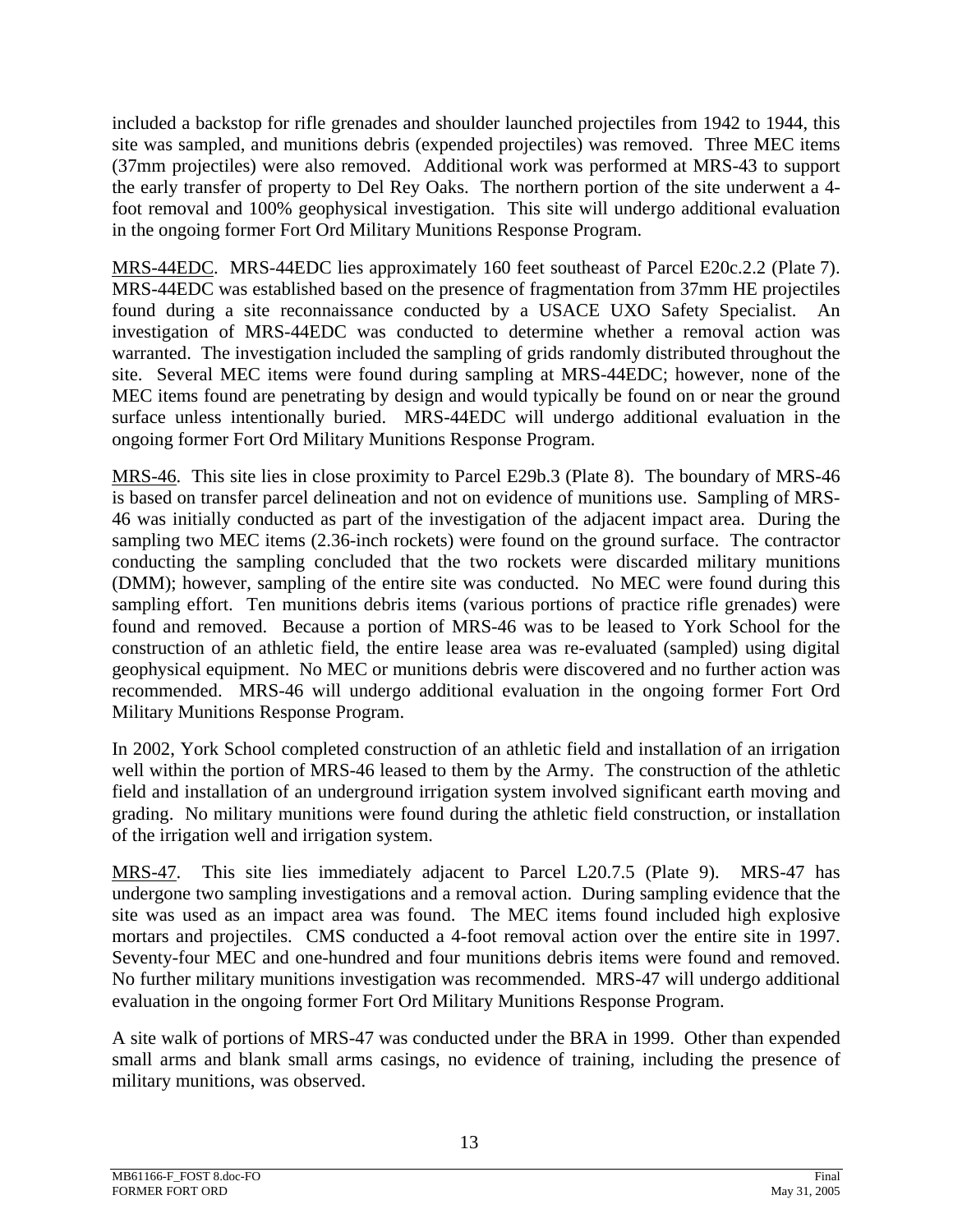included a backstop for rifle grenades and shoulder launched projectiles from 1942 to 1944, this site was sampled, and munitions debris (expended projectiles) was removed. Three MEC items (37mm projectiles) were also removed. Additional work was performed at MRS-43 to support the early transfer of property to Del Rey Oaks. The northern portion of the site underwent a 4 foot removal and 100% geophysical investigation. This site will undergo additional evaluation in the ongoing former Fort Ord Military Munitions Response Program.

MRS-44EDC. MRS-44EDC lies approximately 160 feet southeast of Parcel E20c.2.2 (Plate 7). MRS-44EDC was established based on the presence of fragmentation from 37mm HE projectiles found during a site reconnaissance conducted by a USACE UXO Safety Specialist. An investigation of MRS-44EDC was conducted to determine whether a removal action was warranted. The investigation included the sampling of grids randomly distributed throughout the site. Several MEC items were found during sampling at MRS-44EDC; however, none of the MEC items found are penetrating by design and would typically be found on or near the ground surface unless intentionally buried. MRS-44EDC will undergo additional evaluation in the ongoing former Fort Ord Military Munitions Response Program.

MRS-46. This site lies in close proximity to Parcel E29b.3 (Plate 8). The boundary of MRS-46 is based on transfer parcel delineation and not on evidence of munitions use. Sampling of MRS-46 was initially conducted as part of the investigation of the adjacent impact area. During the sampling two MEC items (2.36-inch rockets) were found on the ground surface. The contractor conducting the sampling concluded that the two rockets were discarded military munitions (DMM); however, sampling of the entire site was conducted. No MEC were found during this sampling effort. Ten munitions debris items (various portions of practice rifle grenades) were found and removed. Because a portion of MRS-46 was to be leased to York School for the construction of an athletic field, the entire lease area was re-evaluated (sampled) using digital geophysical equipment. No MEC or munitions debris were discovered and no further action was recommended. MRS-46 will undergo additional evaluation in the ongoing former Fort Ord Military Munitions Response Program.

In 2002, York School completed construction of an athletic field and installation of an irrigation well within the portion of MRS-46 leased to them by the Army. The construction of the athletic field and installation of an underground irrigation system involved significant earth moving and grading. No military munitions were found during the athletic field construction, or installation of the irrigation well and irrigation system.

MRS-47. This site lies immediately adjacent to Parcel L20.7.5 (Plate 9). MRS-47 has undergone two sampling investigations and a removal action. During sampling evidence that the site was used as an impact area was found. The MEC items found included high explosive mortars and projectiles. CMS conducted a 4-foot removal action over the entire site in 1997. Seventy-four MEC and one-hundred and four munitions debris items were found and removed. No further military munitions investigation was recommended. MRS-47 will undergo additional evaluation in the ongoing former Fort Ord Military Munitions Response Program.

A site walk of portions of MRS-47 was conducted under the BRA in 1999. Other than expended small arms and blank small arms casings, no evidence of training, including the presence of military munitions, was observed.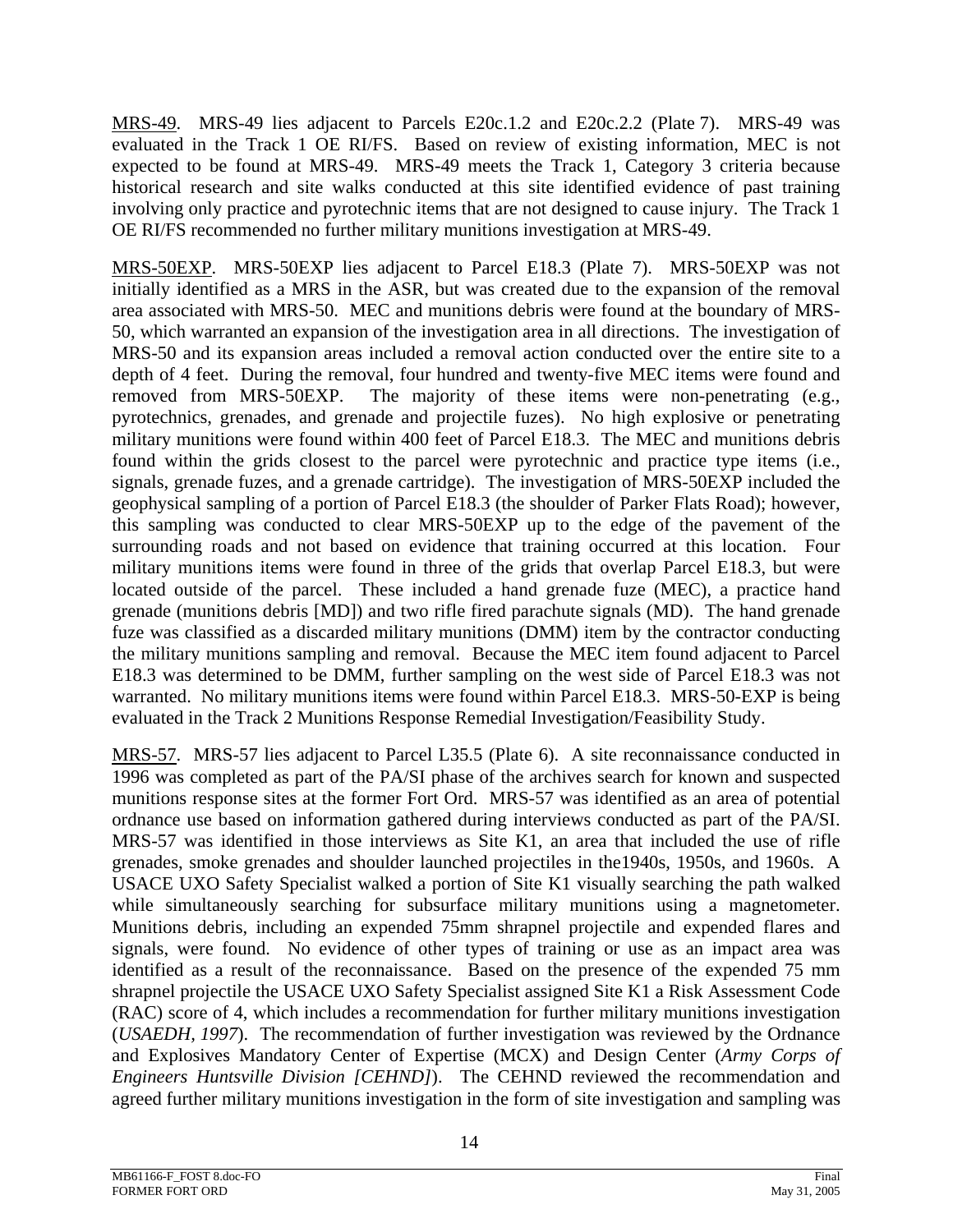MRS-49. MRS-49 lies adjacent to Parcels E20c.1.2 and E20c.2.2 (Plate 7). MRS-49 was evaluated in the Track 1 OE RI/FS. Based on review of existing information, MEC is not expected to be found at MRS-49. MRS-49 meets the Track 1, Category 3 criteria because historical research and site walks conducted at this site identified evidence of past training involving only practice and pyrotechnic items that are not designed to cause injury. The Track 1 OE RI/FS recommended no further military munitions investigation at MRS-49.

MRS-50EXP. MRS-50EXP lies adjacent to Parcel E18.3 (Plate 7). MRS-50EXP was not initially identified as a MRS in the ASR, but was created due to the expansion of the removal area associated with MRS-50. MEC and munitions debris were found at the boundary of MRS-50, which warranted an expansion of the investigation area in all directions. The investigation of MRS-50 and its expansion areas included a removal action conducted over the entire site to a depth of 4 feet. During the removal, four hundred and twenty-five MEC items were found and removed from MRS-50EXP. The majority of these items were non-penetrating (e.g., pyrotechnics, grenades, and grenade and projectile fuzes). No high explosive or penetrating military munitions were found within 400 feet of Parcel E18.3. The MEC and munitions debris found within the grids closest to the parcel were pyrotechnic and practice type items (i.e., signals, grenade fuzes, and a grenade cartridge). The investigation of MRS-50EXP included the geophysical sampling of a portion of Parcel E18.3 (the shoulder of Parker Flats Road); however, this sampling was conducted to clear MRS-50EXP up to the edge of the pavement of the surrounding roads and not based on evidence that training occurred at this location. Four military munitions items were found in three of the grids that overlap Parcel E18.3, but were located outside of the parcel. These included a hand grenade fuze (MEC), a practice hand grenade (munitions debris [MD]) and two rifle fired parachute signals (MD). The hand grenade fuze was classified as a discarded military munitions (DMM) item by the contractor conducting the military munitions sampling and removal. Because the MEC item found adjacent to Parcel E18.3 was determined to be DMM, further sampling on the west side of Parcel E18.3 was not warranted. No military munitions items were found within Parcel E18.3. MRS-50-EXP is being evaluated in the Track 2 Munitions Response Remedial Investigation/Feasibility Study.

MRS-57. MRS-57 lies adjacent to Parcel L35.5 (Plate 6). A site reconnaissance conducted in 1996 was completed as part of the PA/SI phase of the archives search for known and suspected munitions response sites at the former Fort Ord. MRS-57 was identified as an area of potential ordnance use based on information gathered during interviews conducted as part of the PA/SI. MRS-57 was identified in those interviews as Site K1, an area that included the use of rifle grenades, smoke grenades and shoulder launched projectiles in the1940s, 1950s, and 1960s. A USACE UXO Safety Specialist walked a portion of Site K1 visually searching the path walked while simultaneously searching for subsurface military munitions using a magnetometer. Munitions debris, including an expended 75mm shrapnel projectile and expended flares and signals, were found. No evidence of other types of training or use as an impact area was identified as a result of the reconnaissance. Based on the presence of the expended 75 mm shrapnel projectile the USACE UXO Safety Specialist assigned Site K1 a Risk Assessment Code (RAC) score of 4, which includes a recommendation for further military munitions investigation (*USAEDH, 1997*). The recommendation of further investigation was reviewed by the Ordnance and Explosives Mandatory Center of Expertise (MCX) and Design Center (*Army Corps of Engineers Huntsville Division [CEHND]*). The CEHND reviewed the recommendation and agreed further military munitions investigation in the form of site investigation and sampling was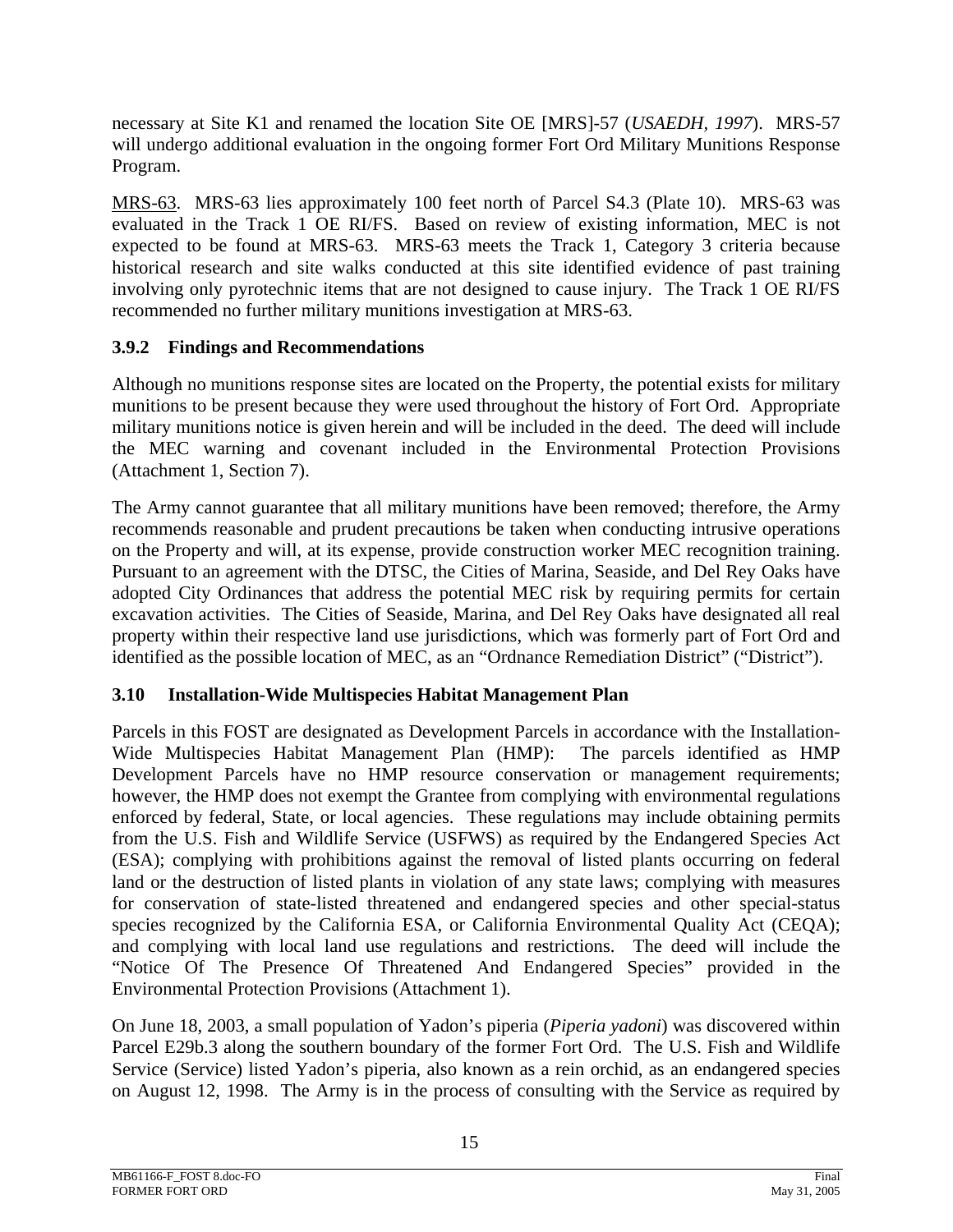necessary at Site K1 and renamed the location Site OE [MRS]-57 (*USAEDH, 1997*). MRS-57 will undergo additional evaluation in the ongoing former Fort Ord Military Munitions Response Program.

MRS-63. MRS-63 lies approximately 100 feet north of Parcel S4.3 (Plate 10). MRS-63 was evaluated in the Track 1 OE RI/FS. Based on review of existing information, MEC is not expected to be found at MRS-63. MRS-63 meets the Track 1, Category 3 criteria because historical research and site walks conducted at this site identified evidence of past training involving only pyrotechnic items that are not designed to cause injury. The Track 1 OE RI/FS recommended no further military munitions investigation at MRS-63.

# **3.9.2 Findings and Recommendations**

Although no munitions response sites are located on the Property, the potential exists for military munitions to be present because they were used throughout the history of Fort Ord. Appropriate military munitions notice is given herein and will be included in the deed. The deed will include the MEC warning and covenant included in the Environmental Protection Provisions (Attachment 1, Section 7).

The Army cannot guarantee that all military munitions have been removed; therefore, the Army recommends reasonable and prudent precautions be taken when conducting intrusive operations on the Property and will, at its expense, provide construction worker MEC recognition training. Pursuant to an agreement with the DTSC, the Cities of Marina, Seaside, and Del Rey Oaks have adopted City Ordinances that address the potential MEC risk by requiring permits for certain excavation activities. The Cities of Seaside, Marina, and Del Rey Oaks have designated all real property within their respective land use jurisdictions, which was formerly part of Fort Ord and identified as the possible location of MEC, as an "Ordnance Remediation District" ("District").

# **3.10 Installation-Wide Multispecies Habitat Management Plan**

Parcels in this FOST are designated as Development Parcels in accordance with the Installation-Wide Multispecies Habitat Management Plan (HMP): The parcels identified as HMP Development Parcels have no HMP resource conservation or management requirements; however, the HMP does not exempt the Grantee from complying with environmental regulations enforced by federal, State, or local agencies. These regulations may include obtaining permits from the U.S. Fish and Wildlife Service (USFWS) as required by the Endangered Species Act (ESA); complying with prohibitions against the removal of listed plants occurring on federal land or the destruction of listed plants in violation of any state laws; complying with measures for conservation of state-listed threatened and endangered species and other special-status species recognized by the California ESA, or California Environmental Quality Act (CEQA); and complying with local land use regulations and restrictions. The deed will include the "Notice Of The Presence Of Threatened And Endangered Species" provided in the Environmental Protection Provisions (Attachment 1).

On June 18, 2003, a small population of Yadon's piperia (*Piperia yadoni*) was discovered within Parcel E29b.3 along the southern boundary of the former Fort Ord. The U.S. Fish and Wildlife Service (Service) listed Yadon's piperia, also known as a rein orchid, as an endangered species on August 12, 1998. The Army is in the process of consulting with the Service as required by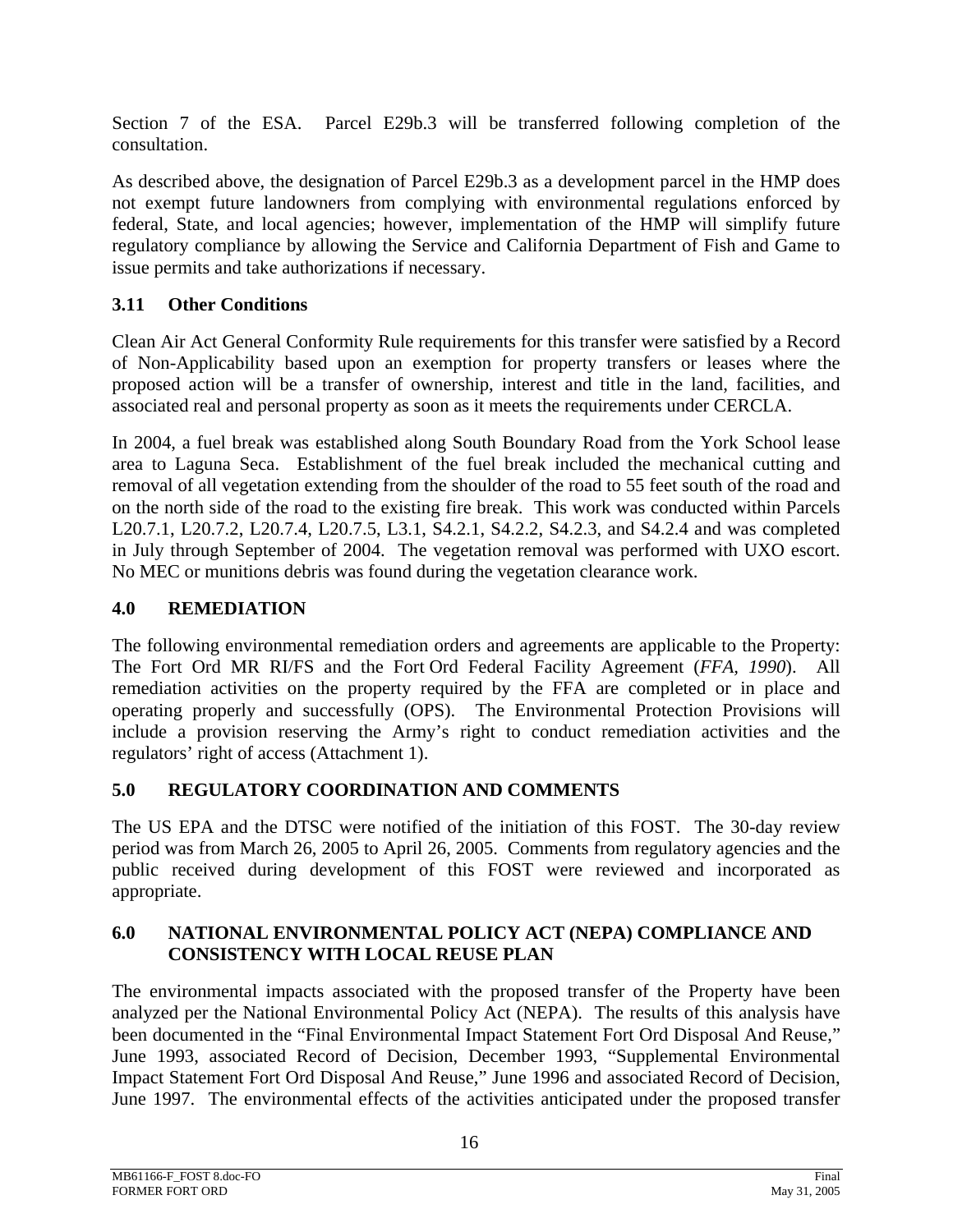Section 7 of the ESA. Parcel E29b.3 will be transferred following completion of the consultation.

As described above, the designation of Parcel E29b.3 as a development parcel in the HMP does not exempt future landowners from complying with environmental regulations enforced by federal, State, and local agencies; however, implementation of the HMP will simplify future regulatory compliance by allowing the Service and California Department of Fish and Game to issue permits and take authorizations if necessary.

# **3.11 Other Conditions**

Clean Air Act General Conformity Rule requirements for this transfer were satisfied by a Record of Non-Applicability based upon an exemption for property transfers or leases where the proposed action will be a transfer of ownership, interest and title in the land, facilities, and associated real and personal property as soon as it meets the requirements under CERCLA.

In 2004, a fuel break was established along South Boundary Road from the York School lease area to Laguna Seca. Establishment of the fuel break included the mechanical cutting and removal of all vegetation extending from the shoulder of the road to 55 feet south of the road and on the north side of the road to the existing fire break. This work was conducted within Parcels L20.7.1, L20.7.2, L20.7.4, L20.7.5, L3.1, S4.2.1, S4.2.2, S4.2.3, and S4.2.4 and was completed in July through September of 2004. The vegetation removal was performed with UXO escort. No MEC or munitions debris was found during the vegetation clearance work.

## **4.0 REMEDIATION**

The following environmental remediation orders and agreements are applicable to the Property: The Fort Ord MR RI/FS and the Fort Ord Federal Facility Agreement (*FFA, 1990*). All remediation activities on the property required by the FFA are completed or in place and operating properly and successfully (OPS). The Environmental Protection Provisions will include a provision reserving the Army's right to conduct remediation activities and the regulators' right of access (Attachment 1).

## **5.0 REGULATORY COORDINATION AND COMMENTS**

The US EPA and the DTSC were notified of the initiation of this FOST. The 30-day review period was from March 26, 2005 to April 26, 2005. Comments from regulatory agencies and the public received during development of this FOST were reviewed and incorporated as appropriate.

## **6.0 NATIONAL ENVIRONMENTAL POLICY ACT (NEPA) COMPLIANCE AND CONSISTENCY WITH LOCAL REUSE PLAN**

The environmental impacts associated with the proposed transfer of the Property have been analyzed per the National Environmental Policy Act (NEPA). The results of this analysis have been documented in the "Final Environmental Impact Statement Fort Ord Disposal And Reuse," June 1993, associated Record of Decision, December 1993, "Supplemental Environmental Impact Statement Fort Ord Disposal And Reuse," June 1996 and associated Record of Decision, June 1997. The environmental effects of the activities anticipated under the proposed transfer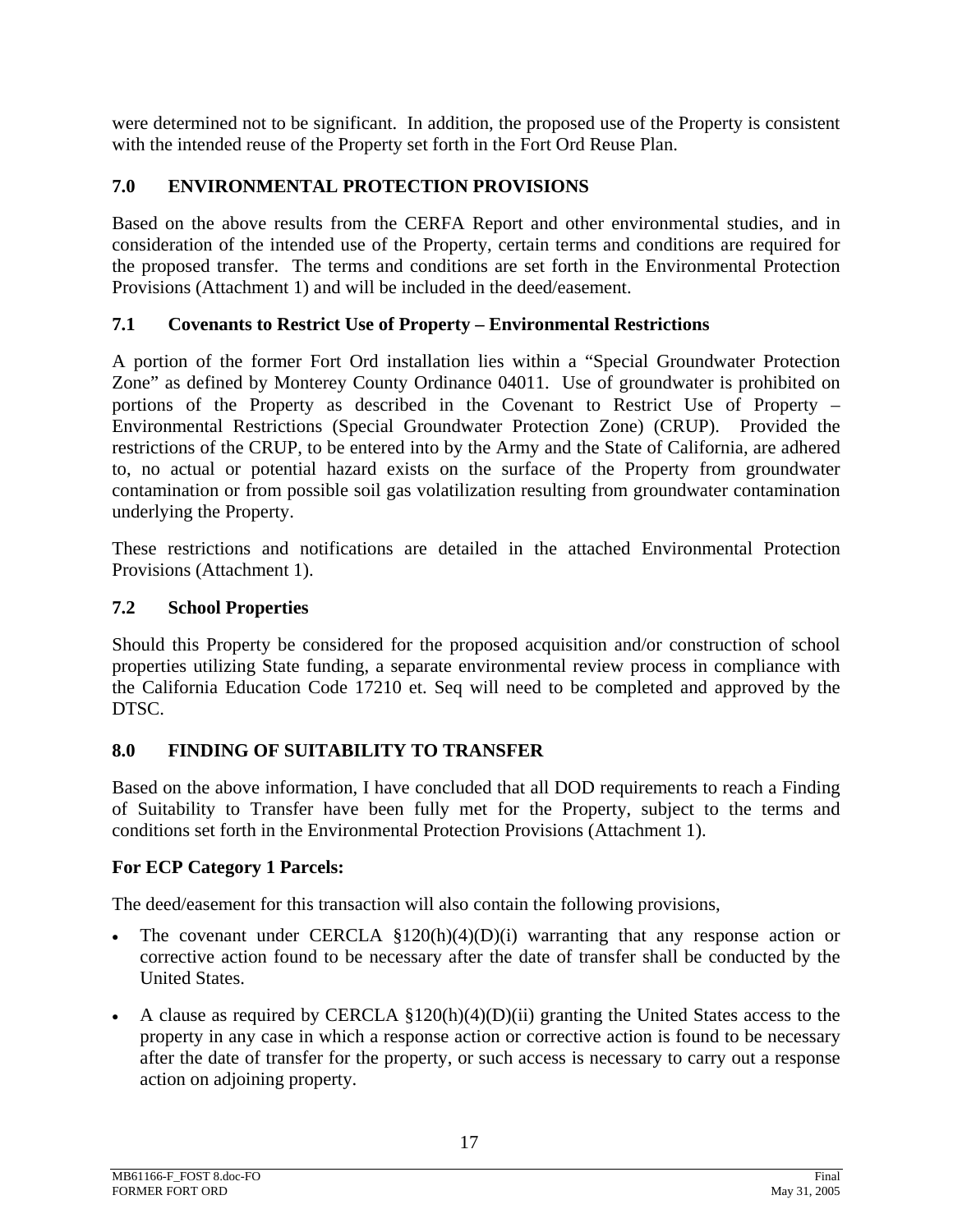were determined not to be significant. In addition, the proposed use of the Property is consistent with the intended reuse of the Property set forth in the Fort Ord Reuse Plan.

## **7.0 ENVIRONMENTAL PROTECTION PROVISIONS**

Based on the above results from the CERFA Report and other environmental studies, and in consideration of the intended use of the Property, certain terms and conditions are required for the proposed transfer. The terms and conditions are set forth in the Environmental Protection Provisions (Attachment 1) and will be included in the deed/easement.

## **7.1 Covenants to Restrict Use of Property – Environmental Restrictions**

A portion of the former Fort Ord installation lies within a "Special Groundwater Protection Zone" as defined by Monterey County Ordinance 04011. Use of groundwater is prohibited on portions of the Property as described in the Covenant to Restrict Use of Property – Environmental Restrictions (Special Groundwater Protection Zone) (CRUP). Provided the restrictions of the CRUP, to be entered into by the Army and the State of California, are adhered to, no actual or potential hazard exists on the surface of the Property from groundwater contamination or from possible soil gas volatilization resulting from groundwater contamination underlying the Property.

These restrictions and notifications are detailed in the attached Environmental Protection Provisions (Attachment 1).

## **7.2 School Properties**

Should this Property be considered for the proposed acquisition and/or construction of school properties utilizing State funding, a separate environmental review process in compliance with the California Education Code 17210 et. Seq will need to be completed and approved by the DTSC.

## **8.0 FINDING OF SUITABILITY TO TRANSFER**

Based on the above information, I have concluded that all DOD requirements to reach a Finding of Suitability to Transfer have been fully met for the Property, subject to the terms and conditions set forth in the Environmental Protection Provisions (Attachment 1).

## **For ECP Category 1 Parcels:**

The deed/easement for this transaction will also contain the following provisions,

- The covenant under CERCLA  $\S 120(h)(4)(D)(i)$  warranting that any response action or corrective action found to be necessary after the date of transfer shall be conducted by the United States.
- A clause as required by CERCLA  $$120(h)(4)(D)(ii)$  granting the United States access to the property in any case in which a response action or corrective action is found to be necessary after the date of transfer for the property, or such access is necessary to carry out a response action on adjoining property.